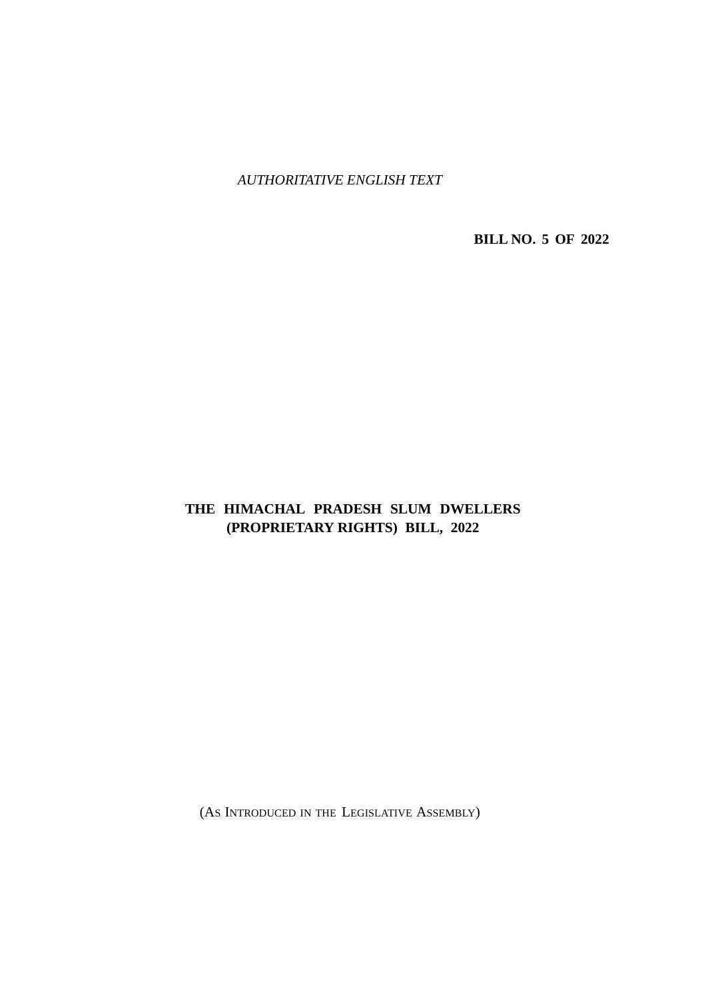*AUTHORITATIVE ENGLISH TEXT*

**BILL NO. 5 OF 2022**

### **THE HIMACHAL PRADESH SLUM DWELLERS (PROPRIETARY RIGHTS) BILL, 2022**

(AS INTRODUCED IN THE LEGISLATIVE ASSEMBLY)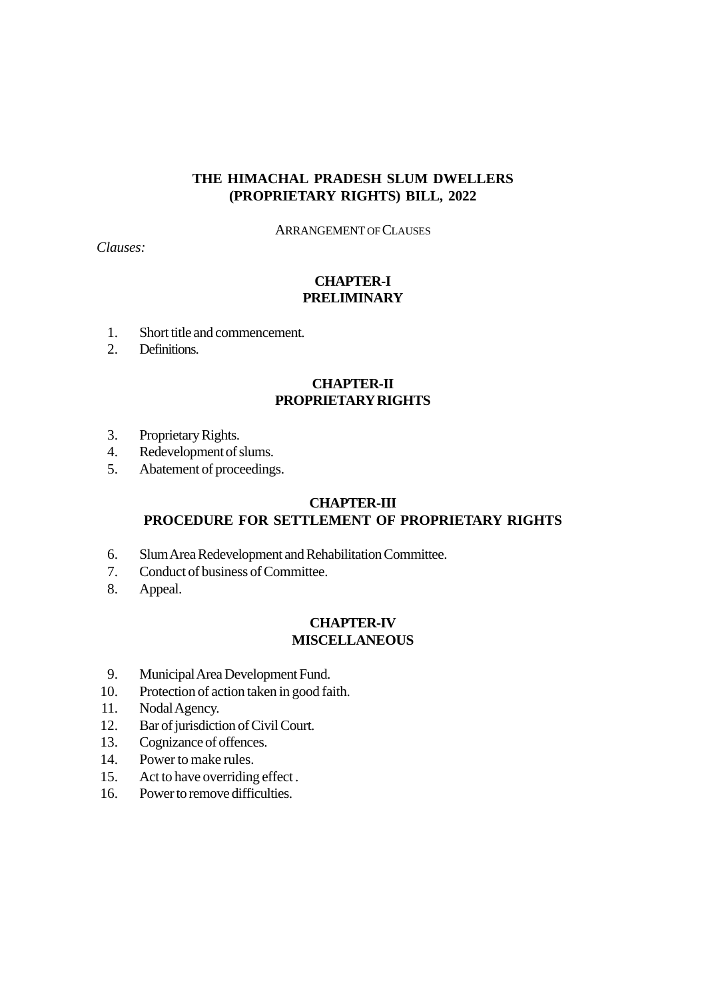#### **THE HIMACHAL PRADESH SLUM DWELLERS (PROPRIETARY RIGHTS) BILL, 2022**

ARRANGEMENT OF CLAUSES

*Clauses:*

### **CHAPTER-I PRELIMINARY**

- 1. Short title and commencement.
- 2. Definitions.

#### **CHAPTER-II PROPRIETARY RIGHTS**

- 3. Proprietary Rights.
- 4. Redevelopment of slums.
- 5. Abatement of proceedings.

## **CHAPTER-III**

### **PROCEDURE FOR SETTLEMENT OF PROPRIETARY RIGHTS**

- 6. Slum Area Redevelopment and Rehabilitation Committee.
- 7. Conduct of business of Committee.
- 8. Appeal.

#### **CHAPTER-IV MISCELLANEOUS**

- 9. Municipal Area Development Fund.
- 10. Protection of action taken in good faith.
- 11. Nodal Agency.
- 12. Bar of jurisdiction of Civil Court.
- 13. Cognizance of offences.
- 14. Power to make rules.
- 15. Act to have overriding effect .
- 16. Power to remove difficulties.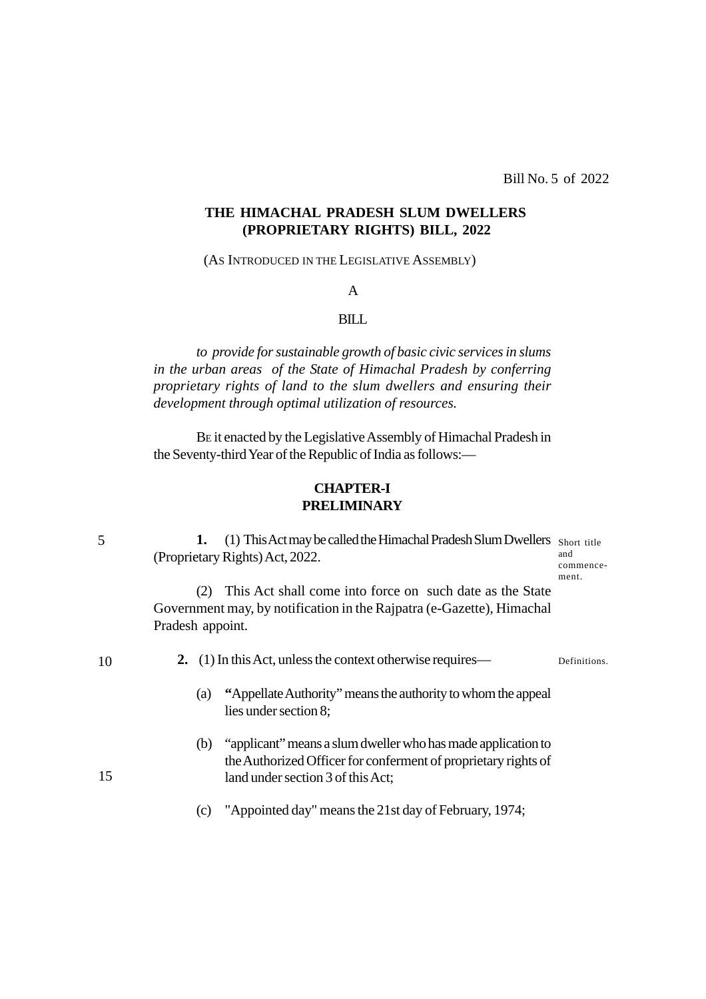#### **THE HIMACHAL PRADESH SLUM DWELLERS (PROPRIETARY RIGHTS) BILL, 2022**

(AS INTRODUCED IN THE LEGISLATIVE ASSEMBLY)

#### A

#### BILL

*to provide for sustainable growth of basic civic services in slums in the urban areas of the State of Himachal Pradesh by conferring proprietary rights of land to the slum dwellers and ensuring their development through optimal utilization of resources.*

BE it enacted by the Legislative Assembly of Himachal Pradesh in the Seventy-third Year of the Republic of India as follows:—

#### **CHAPTER-I PRELIMINARY**

1. (1) This Act may be called the Himachal Pradesh Slum Dwellers Short title (Proprietary Rights) Act, 2022. and

commencement.

(2) This Act shall come into force on such date as the State Government may, by notification in the Rajpatra (e-Gazette), Himachal Pradesh appoint.

10

15

**2.** (1) In this Act, unless the context otherwise requires— Definitions.

- (a) **"**Appellate Authority" means the authority to whom the appeal lies under section 8;
- (b) "applicant" means a slum dweller who has made application to the Authorized Officer for conferment of proprietary rights of land under section 3 of this Act;
- (c) "Appointed day" means the 21st day of February, 1974;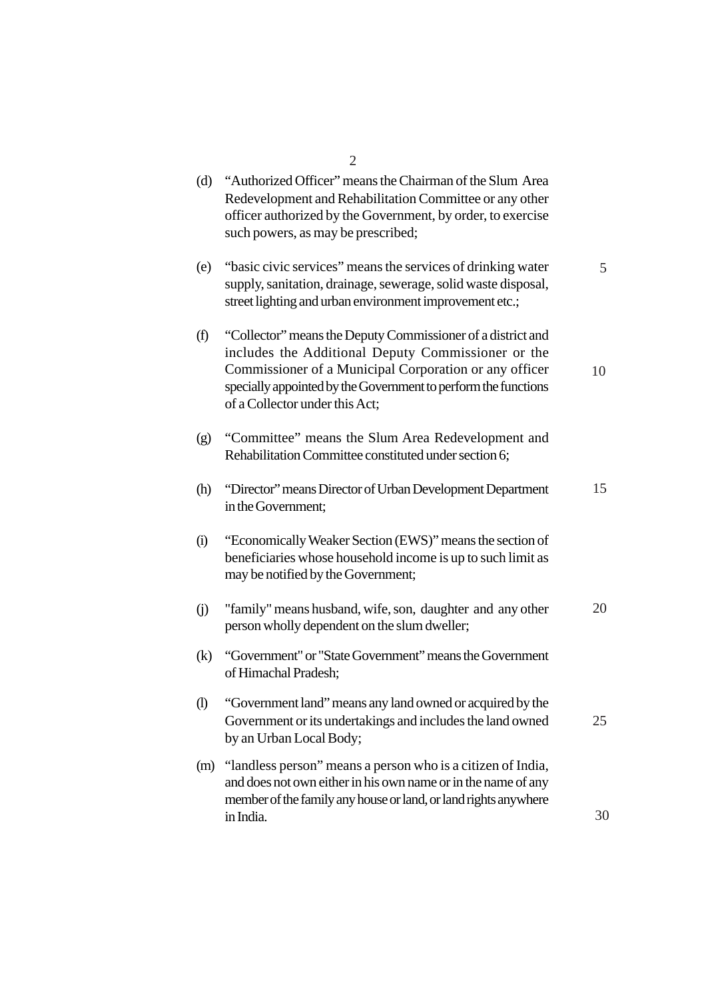|                            | $\overline{2}$                                                                                                                                                                                                                                                                  |    |
|----------------------------|---------------------------------------------------------------------------------------------------------------------------------------------------------------------------------------------------------------------------------------------------------------------------------|----|
| (d)                        | "Authorized Officer" means the Chairman of the Slum Area<br>Redevelopment and Rehabilitation Committee or any other<br>officer authorized by the Government, by order, to exercise<br>such powers, as may be prescribed;                                                        |    |
| (e)                        | "basic civic services" means the services of drinking water<br>supply, sanitation, drainage, sewerage, solid waste disposal,<br>street lighting and urban environment improvement etc.;                                                                                         | 5  |
| (f)                        | "Collector" means the Deputy Commissioner of a district and<br>includes the Additional Deputy Commissioner or the<br>Commissioner of a Municipal Corporation or any officer<br>specially appointed by the Government to perform the functions<br>of a Collector under this Act; | 10 |
| (g)                        | "Committee" means the Slum Area Redevelopment and<br>Rehabilitation Committee constituted under section 6;                                                                                                                                                                      |    |
| (h)                        | "Director" means Director of Urban Development Department<br>in the Government;                                                                                                                                                                                                 | 15 |
| (i)                        | "Economically Weaker Section (EWS)" means the section of<br>beneficiaries whose household income is up to such limit as<br>may be notified by the Government;                                                                                                                   |    |
| (i)                        | "family" means husband, wife, son, daughter and any other<br>person wholly dependent on the slum dweller;                                                                                                                                                                       | 20 |
| (k)                        | "Government" or "State Government" means the Government<br>of Himachal Pradesh;                                                                                                                                                                                                 |    |
| $\left( \mathrm{I}\right)$ | "Government land" means any land owned or acquired by the<br>Government or its undertakings and includes the land owned<br>by an Urban Local Body;                                                                                                                              | 25 |
| (m)                        | "landless person" means a person who is a citizen of India,<br>and does not own either in his own name or in the name of any<br>member of the family any house or land, or land rights anywhere                                                                                 |    |
|                            | in India.                                                                                                                                                                                                                                                                       | 30 |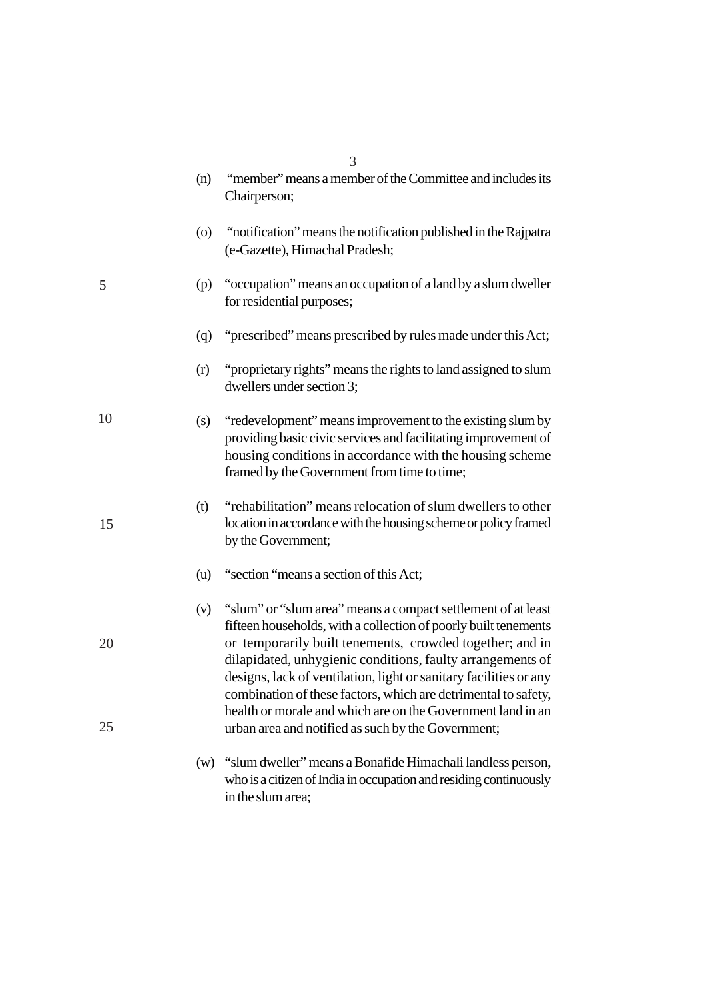|          | (n) | "member" means a member of the Committee and includes its<br>Chairperson;                                                                                                                                                                                                                                                                                                                                                                                                                                             |
|----------|-----|-----------------------------------------------------------------------------------------------------------------------------------------------------------------------------------------------------------------------------------------------------------------------------------------------------------------------------------------------------------------------------------------------------------------------------------------------------------------------------------------------------------------------|
|          | (0) | "notification" means the notification published in the Rajpatra<br>(e-Gazette), Himachal Pradesh;                                                                                                                                                                                                                                                                                                                                                                                                                     |
| 5        | (p) | "occupation" means an occupation of a land by a slum dweller<br>for residential purposes;                                                                                                                                                                                                                                                                                                                                                                                                                             |
|          | (q) | "prescribed" means prescribed by rules made under this Act;                                                                                                                                                                                                                                                                                                                                                                                                                                                           |
|          | (r) | "proprietary rights" means the rights to land assigned to slum<br>dwellers under section 3;                                                                                                                                                                                                                                                                                                                                                                                                                           |
| 10       | (s) | "redevelopment" means improvement to the existing slum by<br>providing basic civic services and facilitating improvement of<br>housing conditions in accordance with the housing scheme<br>framed by the Government from time to time;                                                                                                                                                                                                                                                                                |
| 15       | (t) | "rehabilitation" means relocation of slum dwellers to other<br>location in accordance with the housing scheme or policy framed<br>by the Government;                                                                                                                                                                                                                                                                                                                                                                  |
|          | (u) | "section "means a section of this Act;                                                                                                                                                                                                                                                                                                                                                                                                                                                                                |
| 20<br>25 | (v) | "slum" or "slum area" means a compact settlement of at least<br>fifteen households, with a collection of poorly built tenements<br>or temporarily built tenements, crowded together; and in<br>dilapidated, unhygienic conditions, faulty arrangements of<br>designs, lack of ventilation, light or sanitary facilities or any<br>combination of these factors, which are detrimental to safety,<br>health or morale and which are on the Government land in an<br>urban area and notified as such by the Government; |
|          |     | (w) "slum dweller" means a Bonafide Himachali landless person,<br>who is a citizen of India in occupation and residing continuously<br>in the slum area;                                                                                                                                                                                                                                                                                                                                                              |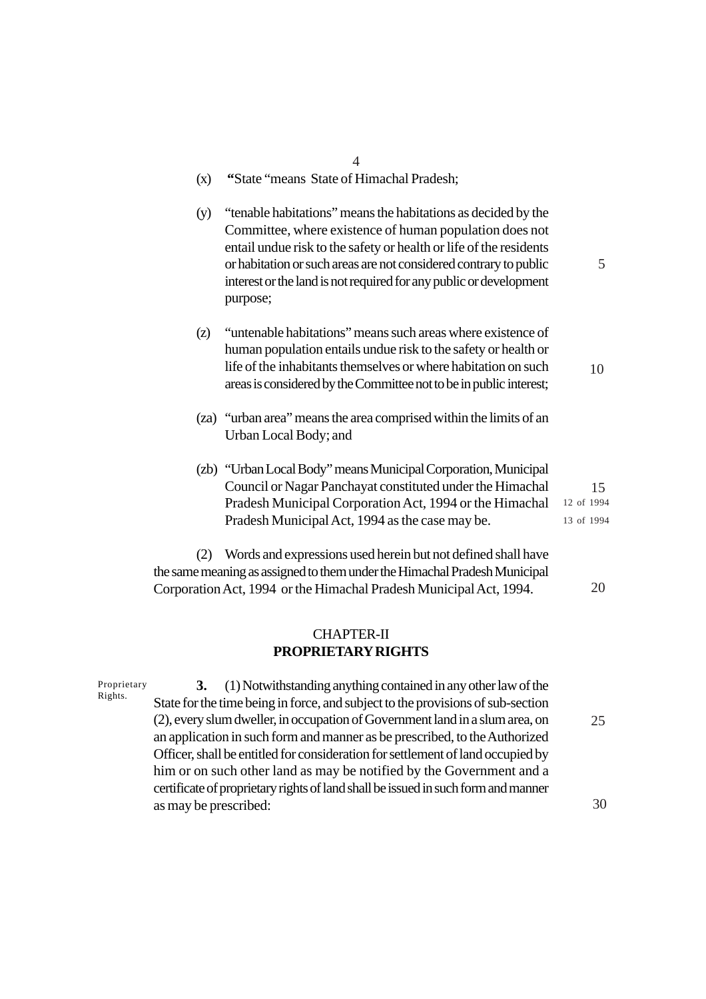| (x) | "State "means State of Himachal Pradesh;                                                                                                                                                                                                                                                                                                              |                                |
|-----|-------------------------------------------------------------------------------------------------------------------------------------------------------------------------------------------------------------------------------------------------------------------------------------------------------------------------------------------------------|--------------------------------|
| (y) | "tenable habitations" means the habitations as decided by the<br>Committee, where existence of human population does not<br>entail undue risk to the safety or health or life of the residents<br>or habitation or such areas are not considered contrary to public<br>interest or the land is not required for any public or development<br>purpose; | 5                              |
| (z) | "untenable habitations" means such areas where existence of<br>human population entails undue risk to the safety or health or<br>life of the inhabitants themselves or where habitation on such<br>areas is considered by the Committee not to be in public interest;                                                                                 | 10                             |
|     | (za) "urban area" means the area comprised within the limits of an<br>Urban Local Body; and                                                                                                                                                                                                                                                           |                                |
|     | (zb) "Urban Local Body" means Municipal Corporation, Municipal<br>Council or Nagar Panchayat constituted under the Himachal<br>Pradesh Municipal Corporation Act, 1994 or the Himachal<br>Pradesh Municipal Act, 1994 as the case may be.                                                                                                             | 15<br>12 of 1994<br>13 of 1994 |
| (2) | Words and expressions used herein but not defined shall have                                                                                                                                                                                                                                                                                          |                                |

 $\frac{4}{1}$ 

the same meaning as assigned to them under the Himachal Pradesh Municipal Corporation Act, 1994 or the Himachal Pradesh Municipal Act, 1994.

20

### CHAPTER-II **PROPRIETARY RIGHTS**

#### Proprietary Rights.

**3.** (1) Notwithstanding anything contained in any other law of the State for the time being in force, and subject to the provisions of sub-section (2), every slum dweller, in occupation of Government land in a slum area, on an application in such form and manner as be prescribed, to the Authorized Officer, shall be entitled for consideration for settlement of land occupied by him or on such other land as may be notified by the Government and a certificate of proprietary rights of land shall be issued in such form and manner as may be prescribed: 25 30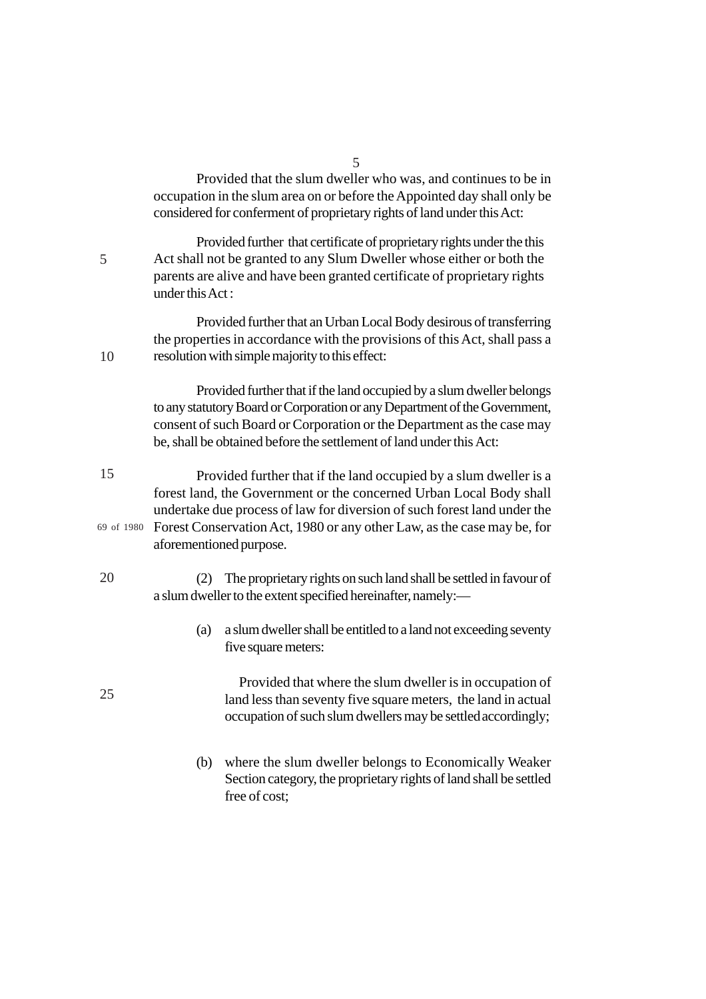Provided that the slum dweller who was, and continues to be in occupation in the slum area on or before the Appointed day shall only be considered for conferment of proprietary rights of land under this Act:

Provided further that certificate of proprietary rights under the this Act shall not be granted to any Slum Dweller whose either or both the parents are alive and have been granted certificate of proprietary rights under this Act :

5

10

25

Provided further that an Urban Local Body desirous of transferring the properties in accordance with the provisions of this Act, shall pass a resolution with simple majority to this effect:

Provided further that if the land occupied by a slum dweller belongs to any statutory Board or Corporation or any Department of the Government, consent of such Board or Corporation or the Department as the case may be, shall be obtained before the settlement of land under this Act:

- Provided further that if the land occupied by a slum dweller is a forest land, the Government or the concerned Urban Local Body shall undertake due process of law for diversion of such forest land under the Forest Conservation Act, 1980 or any other Law, as the case may be, for 69 of 1980aforementioned purpose. 15
- (2) The proprietary rights on such land shall be settled in favour of a slum dweller to the extent specified hereinafter, namely:— 20
	- (a) a slum dweller shall be entitled to a land not exceeding seventy five square meters:

Provided that where the slum dweller is in occupation of land less than seventy five square meters, the land in actual occupation of such slum dwellers may be settled accordingly;

(b) where the slum dweller belongs to Economically Weaker Section category, the proprietary rights of land shall be settled free of cost;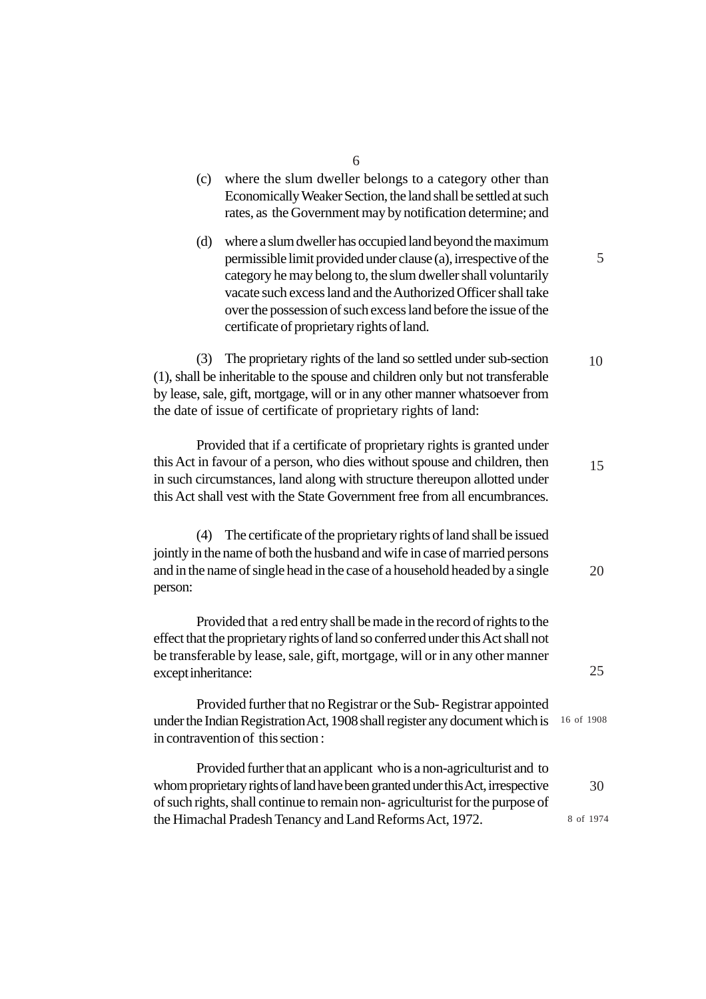|                     | 6                                                                                                                                                                                                                                                                                                                                                                                |            |
|---------------------|----------------------------------------------------------------------------------------------------------------------------------------------------------------------------------------------------------------------------------------------------------------------------------------------------------------------------------------------------------------------------------|------------|
| (c)                 | where the slum dweller belongs to a category other than<br>Economically Weaker Section, the land shall be settled at such<br>rates, as the Government may by notification determine; and                                                                                                                                                                                         |            |
| (d)                 | where a slum dweller has occupied land beyond the maximum<br>permissible limit provided under clause (a), irrespective of the<br>category he may belong to, the slum dweller shall voluntarily<br>vacate such excess land and the Authorized Officer shall take<br>over the possession of such excess land before the issue of the<br>certificate of proprietary rights of land. | 5          |
| (3)                 | The proprietary rights of the land so settled under sub-section<br>(1), shall be inheritable to the spouse and children only but not transferable<br>by lease, sale, gift, mortgage, will or in any other manner whatsoever from<br>the date of issue of certificate of proprietary rights of land:                                                                              | 10         |
|                     | Provided that if a certificate of proprietary rights is granted under<br>this Act in favour of a person, who dies without spouse and children, then<br>in such circumstances, land along with structure thereupon allotted under<br>this Act shall vest with the State Government free from all encumbrances.                                                                    | 15         |
| (4)<br>person:      | The certificate of the proprietary rights of land shall be issued<br>jointly in the name of both the husband and wife in case of married persons<br>and in the name of single head in the case of a household headed by a single                                                                                                                                                 | 20         |
| except inheritance: | Provided that a red entry shall be made in the record of rights to the<br>effect that the proprietary rights of land so conferred under this Act shall not<br>be transferable by lease, sale, gift, mortgage, will or in any other manner                                                                                                                                        | 25         |
|                     | Provided further that no Registrar or the Sub-Registrar appointed<br>under the Indian Registration Act, 1908 shall register any document which is<br>in contravention of this section:                                                                                                                                                                                           | 16 of 1908 |
|                     | Provided further that an applicant who is a non-agriculturist and to<br>whom proprietary rights of land have been granted under this Act, irrespective<br>of such rights, shall continue to remain non-agriculturist for the purpose of                                                                                                                                          | 30         |
|                     | the Himachal Pradesh Tenancy and Land Reforms Act, 1972.                                                                                                                                                                                                                                                                                                                         | 8 of 1974  |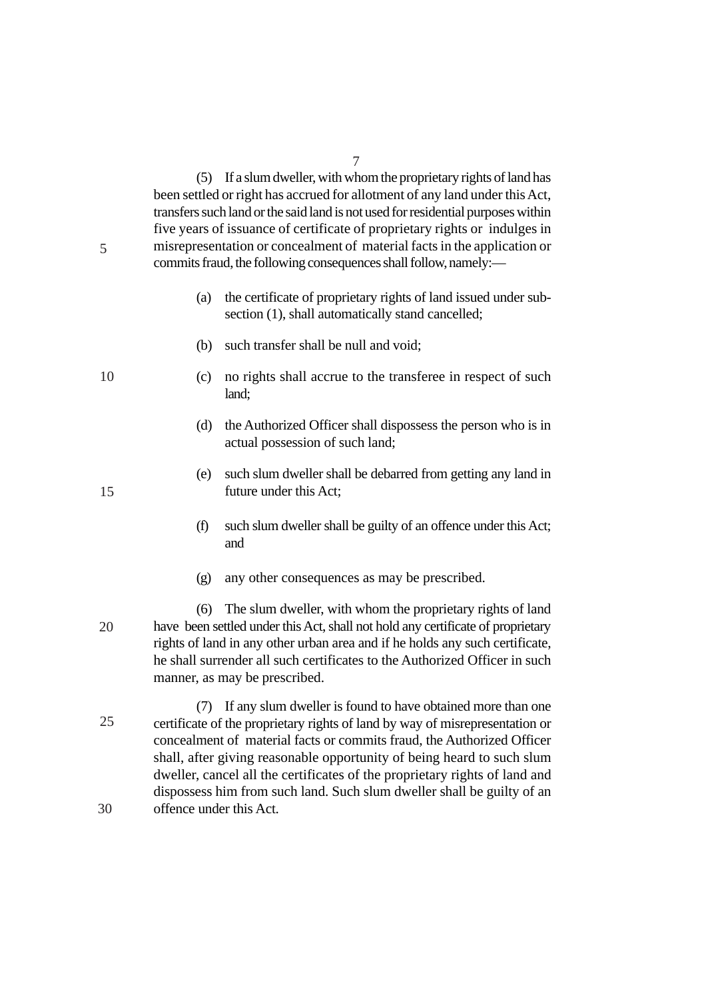(5) If a slum dweller, with whom the proprietary rights of land has been settled or right has accrued for allotment of any land under this Act, transfers such land or the said land is not used for residential purposes within five years of issuance of certificate of proprietary rights or indulges in misrepresentation or concealment of material facts in the application or commits fraud, the following consequences shall follow, namely:—

- (a) the certificate of proprietary rights of land issued under subsection (1), shall automatically stand cancelled;
- (b) such transfer shall be null and void;
- (c) no rights shall accrue to the transferee in respect of such land;
- (d) the Authorized Officer shall dispossess the person who is in actual possession of such land;
- (e) such slum dweller shall be debarred from getting any land in future under this Act;
- (f) such slum dweller shall be guilty of an offence under this Act; and
- (g) any other consequences as may be prescribed.
- (6) The slum dweller, with whom the proprietary rights of land have been settled under this Act, shall not hold any certificate of proprietary rights of land in any other urban area and if he holds any such certificate, he shall surrender all such certificates to the Authorized Officer in such manner, as may be prescribed. 20
- (7) If any slum dweller is found to have obtained more than one certificate of the proprietary rights of land by way of misrepresentation or concealment of material facts or commits fraud, the Authorized Officer shall, after giving reasonable opportunity of being heard to such slum dweller, cancel all the certificates of the proprietary rights of land and dispossess him from such land. Such slum dweller shall be guilty of an offence under this Act. 25 30

15

10

5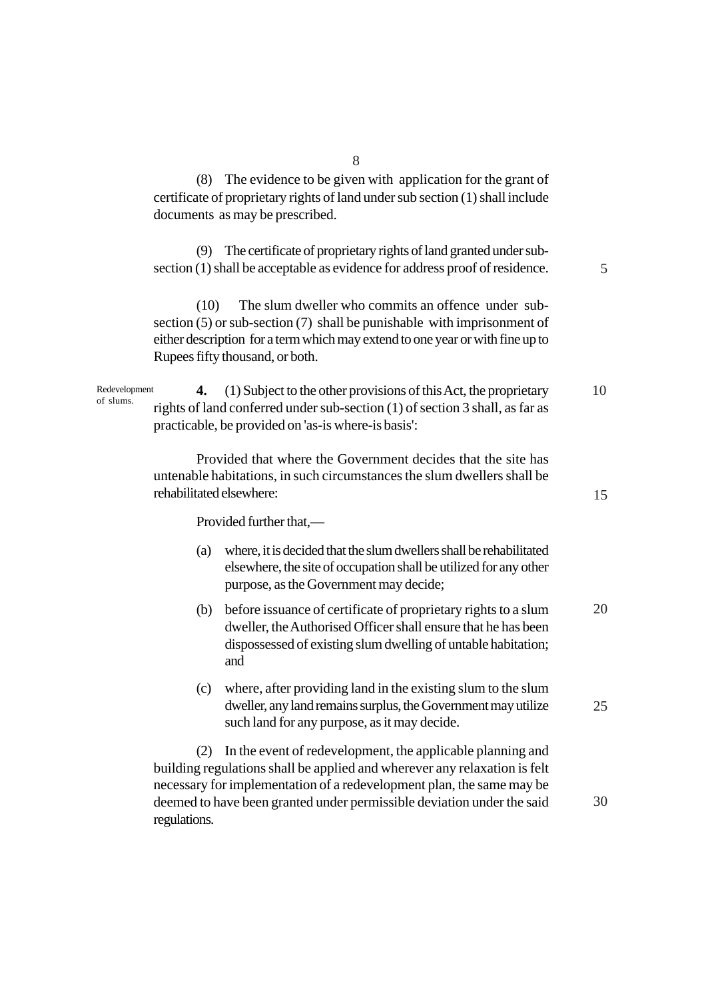(8) The evidence to be given with application for the grant of certificate of proprietary rights of land under sub section (1) shall include documents as may be prescribed.

(9) The certificate of proprietary rights of land granted under subsection (1) shall be acceptable as evidence for address proof of residence.

5

15

25

30

(10) The slum dweller who commits an offence under subsection (5) or sub-section (7) shall be punishable with imprisonment of either description for a term which may extend to one year or with fine up to Rupees fifty thousand, or both.

**4.** (1) Subject to the other provisions of this Act, the proprietary rights of land conferred under sub-section (1) of section 3 shall, as far as practicable, be provided on 'as-is where-is basis': 10 Redevelopment of slums.

> Provided that where the Government decides that the site has untenable habitations, in such circumstances the slum dwellers shall be rehabilitated elsewhere:

> > Provided further that,—

- (a) where, it is decided that the slum dwellers shall be rehabilitated elsewhere, the site of occupation shall be utilized for any other purpose, as the Government may decide;
- (b) before issuance of certificate of proprietary rights to a slum dweller, the Authorised Officer shall ensure that he has been dispossessed of existing slum dwelling of untable habitation; and 20
- (c) where, after providing land in the existing slum to the slum dweller, any land remains surplus, the Government may utilize such land for any purpose, as it may decide.

(2) In the event of redevelopment, the applicable planning and building regulations shall be applied and wherever any relaxation is felt necessary for implementation of a redevelopment plan, the same may be deemed to have been granted under permissible deviation under the said regulations.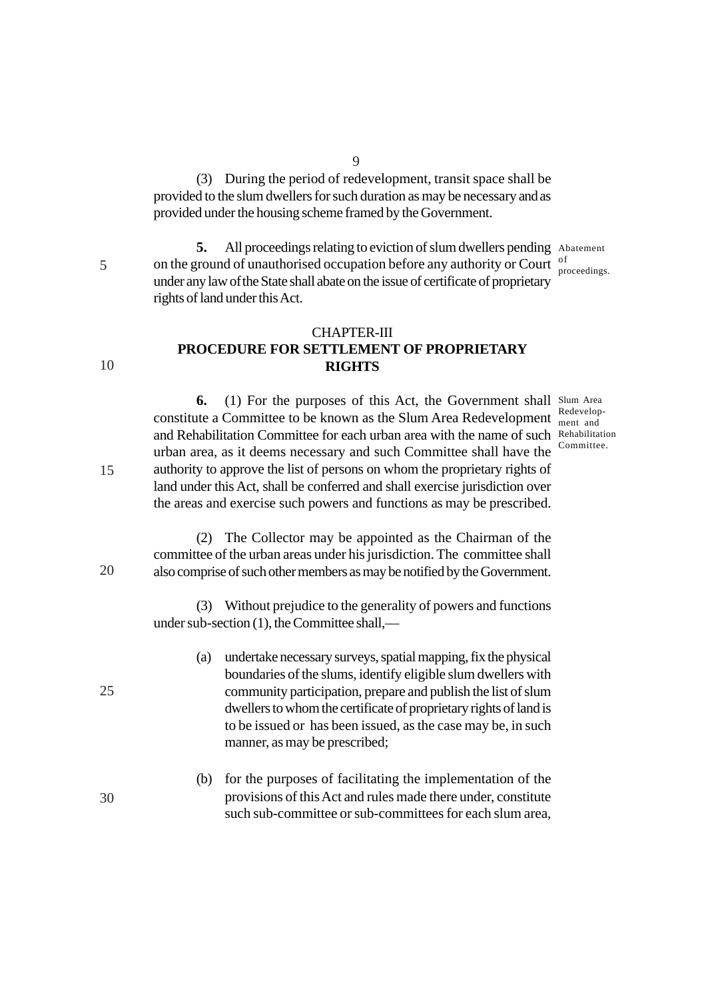(3) During the period of redevelopment, transit space shall be provided to the slum dwellers for such duration as may be necessary and as provided under the housing scheme framed by the Government.

 $\overline{Q}$ 

5. All proceedings relating to eviction of slum dwellers pending Abatement on the ground of unauthorised occupation before any authority or Court  $\frac{1}{n}$ under any law of the State shall abate on the issue of certificate of proprietary rights of land under this Act. proceedings.

### CHAPTER-III **PROCEDURE FOR SETTLEMENT OF PROPRIETARY RIGHTS**

**6.** (1) For the purposes of this Act, the Government shall Slum Area constitute a Committee to be known as the Slum Area Redevelopment  $\frac{\text{Redevelop}}{\text{ment and }}$ and Rehabilitation Committee for each urban area with the name of such Rehabilitation urban area, as it deems necessary and such Committee shall have the authority to approve the list of persons on whom the proprietary rights of land under this Act, shall be conferred and shall exercise jurisdiction over the areas and exercise such powers and functions as may be prescribed.

ment and Committee.

(2) The Collector may be appointed as the Chairman of the committee of the urban areas under his jurisdiction. The committee shall also comprise of such other members as may be notified by the Government.

(3) Without prejudice to the generality of powers and functions under sub-section (1), the Committee shall,—

- (a) undertake necessary surveys, spatial mapping, fix the physical boundaries of the slums, identify eligible slum dwellers with community participation, prepare and publish the list of slum dwellers to whom the certificate of proprietary rights of land is to be issued or has been issued, as the case may be, in such manner, as may be prescribed;
- (b) for the purposes of facilitating the implementation of the provisions of this Act and rules made there under, constitute such sub-committee or sub-committees for each slum area,

5

10

15

20

25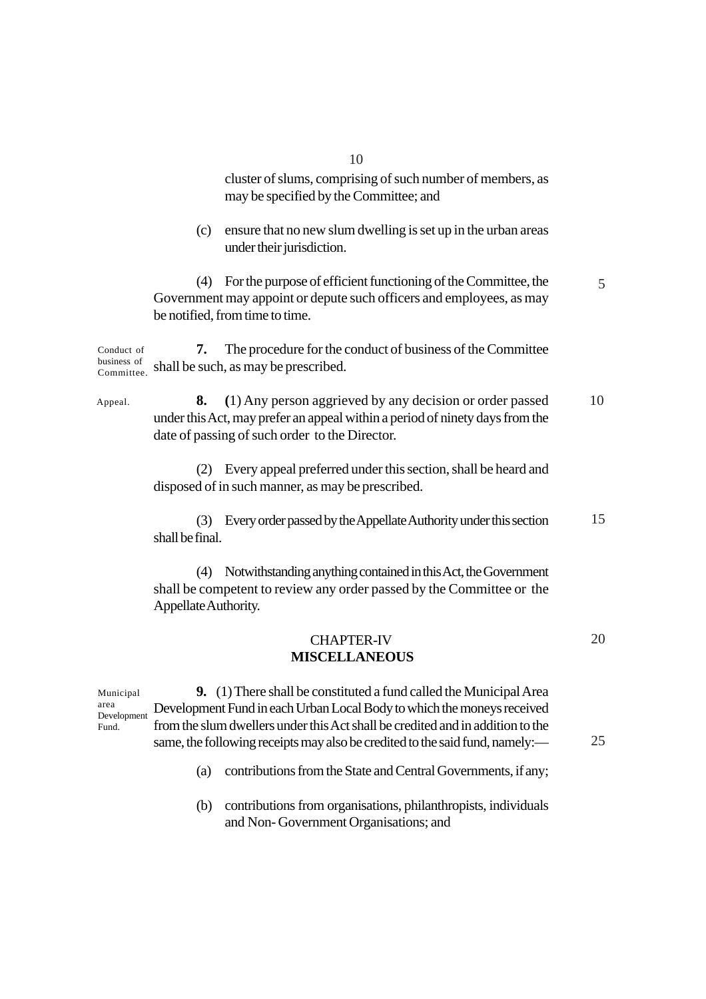cluster of slums, comprising of such number of members, as may be specified by the Committee; and

(c) ensure that no new slum dwelling is set up in the urban areas under their jurisdiction.

(4) For the purpose of efficient functioning of the Committee, the Government may appoint or depute such officers and employees, as may be notified, from time to time.

**7.** The procedure for the conduct of business of the Committee business of shall be such, as may be prescribed. Conduct of Committee.

**8. (**1) Any person aggrieved by any decision or order passed under this Act, may prefer an appeal within a period of ninety days from the date of passing of such order to the Director. 10 Appeal.

> (2) Every appeal preferred under this section, shall be heard and disposed of in such manner, as may be prescribed.

(3) Every order passed by the Appellate Authority under this section shall be final. 15

(4) Notwithstanding anything contained in this Act, the Government shall be competent to review any order passed by the Committee or the Appellate Authority.

#### CHAPTER-IV  **MISCELLANEOUS** 20

**9.** (1) There shall be constituted a fund called the Municipal Area Development Fund in each Urban Local Body to which the moneys received from the slum dwellers under this Act shall be credited and in addition to the same, the following receipts may also be credited to the said fund, namely:— Municipal area Development Fund.

25

5

(a) contributions from the State and Central Governments, if any;

(b) contributions from organisations, philanthropists, individuals and Non- Government Organisations; and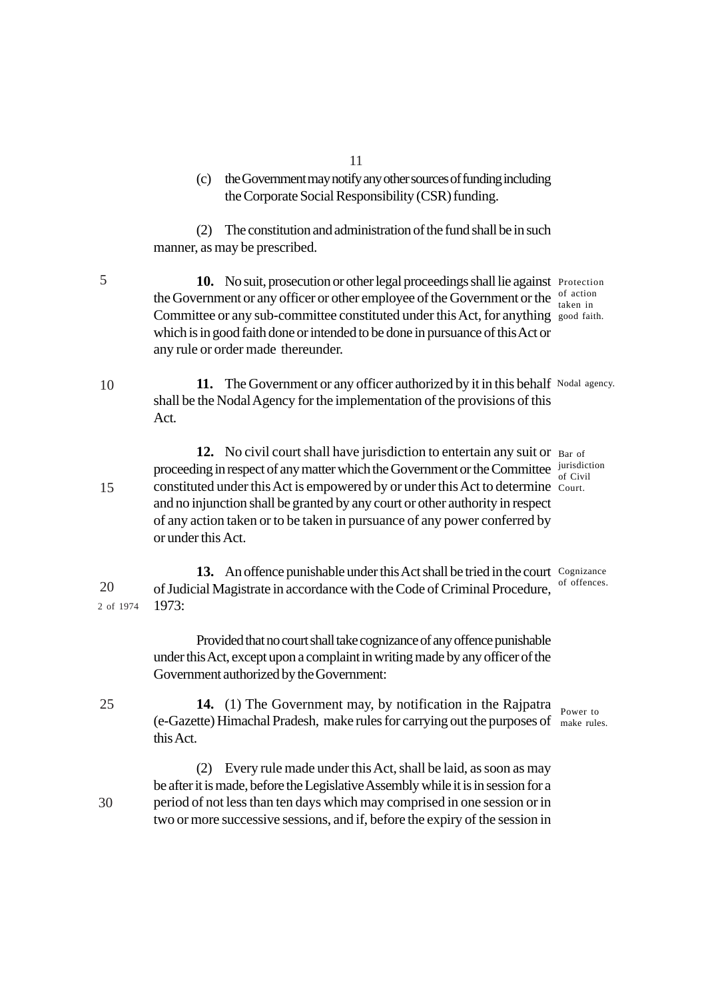- 11
- (c) the Government may notify any other sources of funding including the Corporate Social Responsibility (CSR) funding.

(2) The constitution and administration of the fund shall be in such manner, as may be prescribed.

10. No suit, prosecution or other legal proceedings shall lie against Protection the Government or any officer or other employee of the Government or the  $\frac{0.05 \text{ of action}}{1 \text{ when in a}}$ Committee or any sub-committee constituted under this Act, for anything good faith. which is in good faith done or intended to be done in pursuance of this Act or any rule or order made thereunder. taken in

11. The Government or any officer authorized by it in this behalf Nodal agency. shall be the Nodal Agency for the implementation of the provisions of this Act. 10

12. No civil court shall have jurisdiction to entertain any suit or Bar of proceeding in respect of any matter which the Government or the Committee  $\frac{current}{cf\_Grid}$ constituted under this Act is empowered by or under this Act to determine Court. and no injunction shall be granted by any court or other authority in respect of any action taken or to be taken in pursuance of any power conferred by or under this Act. 15 of Civil

13. An offence punishable under this Act shall be tried in the court Cognizance of Judicial Magistrate in accordance with the Code of Criminal Procedure, of offences. 1973: 20 2 of 1974

> Provided that no court shall take cognizance of any offence punishable under this Act, except upon a complaint in writing made by any officer of the Government authorized by the Government:

**14.** (1) The Government may, by notification in the Rajpatra <sub>Power to</sub> (e-Gazette) Himachal Pradesh, make rules for carrying out the purposes of make rules. this Act.

(2) Every rule made under this Act, shall be laid, as soon as may be after it is made, before the Legislative Assembly while it is in session for a period of not less than ten days which may comprised in one session or in two or more successive sessions, and if, before the expiry of the session in

5

25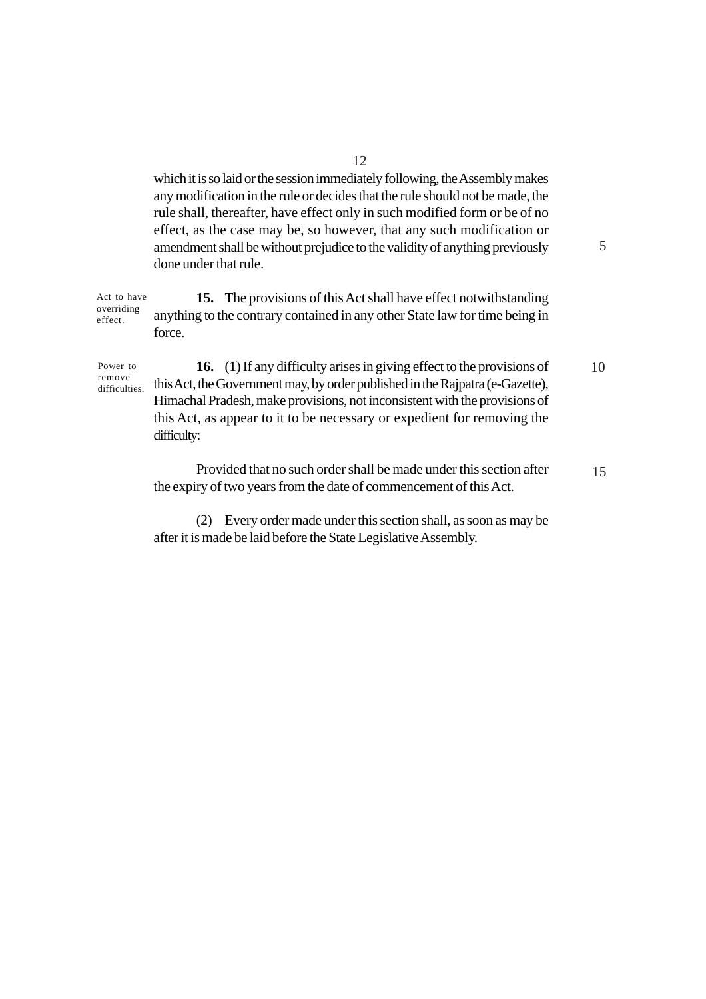which it is so laid or the session immediately following, the Assembly makes any modification in the rule or decides that the rule should not be made, the rule shall, thereafter, have effect only in such modified form or be of no effect, as the case may be, so however, that any such modification or amendment shall be without prejudice to the validity of anything previously done under that rule.

5

**15.** The provisions of this Act shall have effect notwithstanding anything to the contrary contained in any other State law for time being in force. Act to have overriding effect.

Power to remove difficulties.

**16.** (1) If any difficulty arises in giving effect to the provisions of this Act, the Government may, by order published in the Rajpatra (e-Gazette), Himachal Pradesh, make provisions, not inconsistent with the provisions of this Act, as appear to it to be necessary or expedient for removing the difficulty: 10

Provided that no such order shall be made under this section after the expiry of two years from the date of commencement of this Act. 15

(2) Every order made under this section shall, as soon as may be after it is made be laid before the State Legislative Assembly.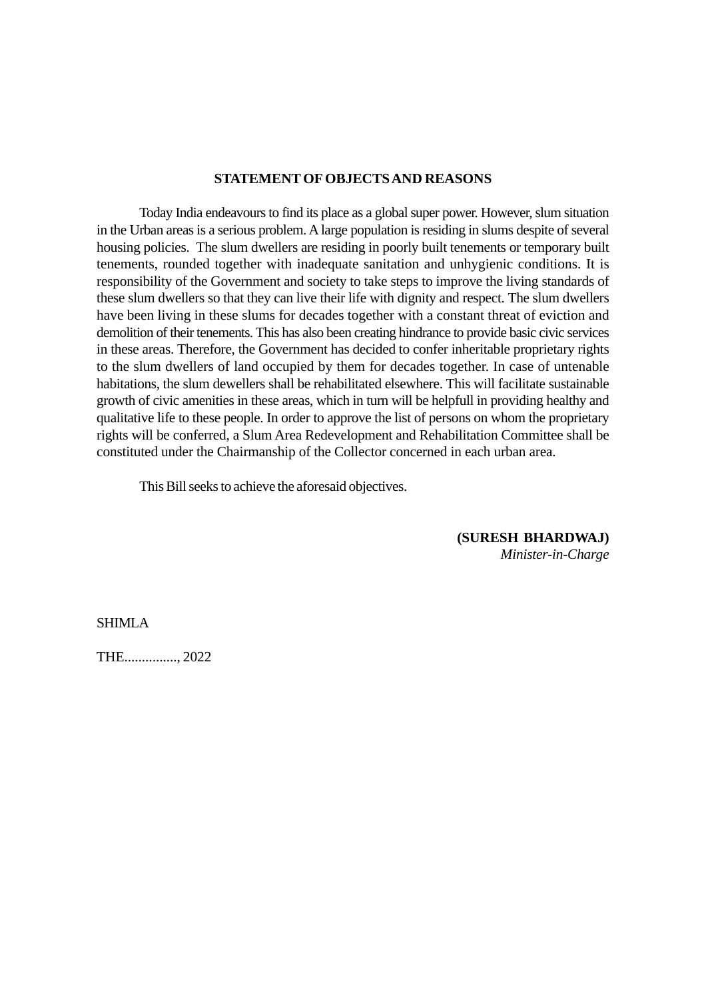#### **STATEMENT OF OBJECTS AND REASONS**

Today India endeavours to find its place as a global super power. However, slum situation in the Urban areas is a serious problem. A large population is residing in slums despite of several housing policies. The slum dwellers are residing in poorly built tenements or temporary built tenements, rounded together with inadequate sanitation and unhygienic conditions. It is responsibility of the Government and society to take steps to improve the living standards of these slum dwellers so that they can live their life with dignity and respect. The slum dwellers have been living in these slums for decades together with a constant threat of eviction and demolition of their tenements. This has also been creating hindrance to provide basic civic services in these areas. Therefore, the Government has decided to confer inheritable proprietary rights to the slum dwellers of land occupied by them for decades together. In case of untenable habitations, the slum dewellers shall be rehabilitated elsewhere. This will facilitate sustainable growth of civic amenities in these areas, which in turn will be helpfull in providing healthy and qualitative life to these people. In order to approve the list of persons on whom the proprietary rights will be conferred, a Slum Area Redevelopment and Rehabilitation Committee shall be constituted under the Chairmanship of the Collector concerned in each urban area.

This Bill seeks to achieve the aforesaid objectives.

**(SURESH BHARDWAJ)** *Minister-in-Charge*

SHIMLA

THE..............., 2022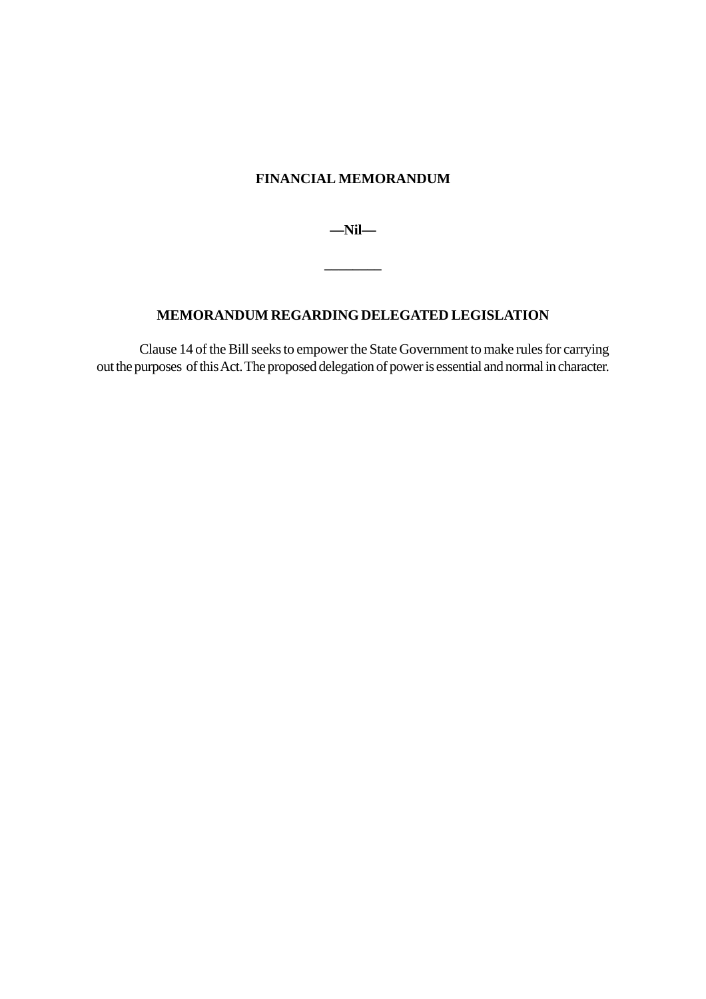### **FINANCIAL MEMORANDUM**

**—Nil—**

**\_\_\_\_\_\_\_\_**

#### **MEMORANDUM REGARDING DELEGATED LEGISLATION**

Clause 14 of the Bill seeks to empower the State Government to make rules for carrying out the purposes of this Act. The proposed delegation of power is essential and normal in character.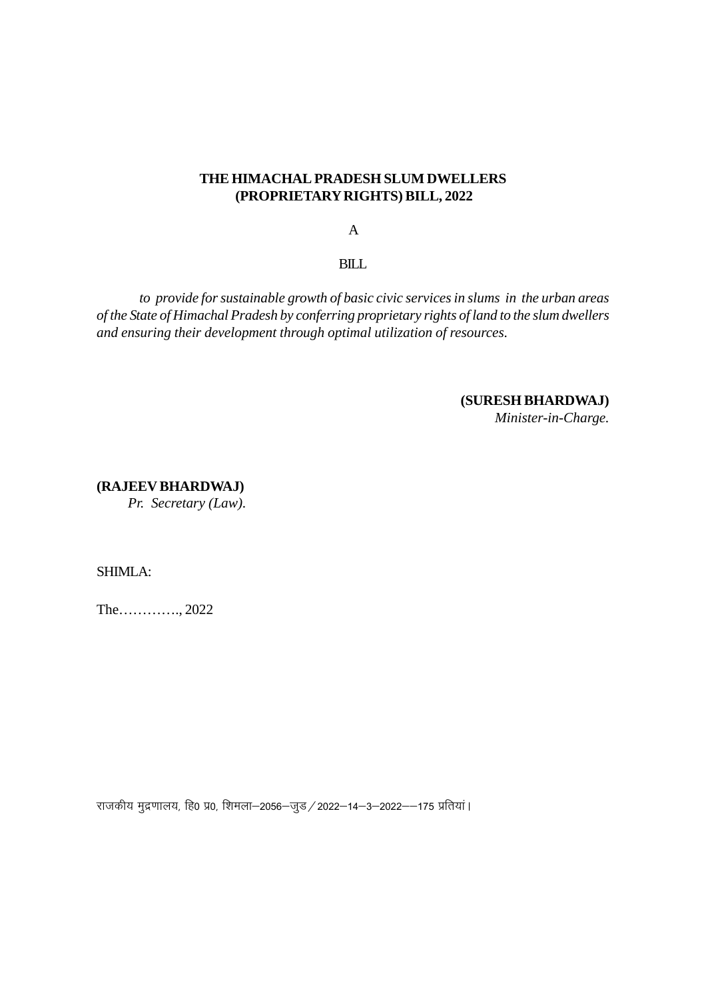#### **THE HIMACHAL PRADESH SLUM DWELLERS (PROPRIETARY RIGHTS) BILL, 2022**

A

BILL

*to provide for sustainable growth of basic civic services in slums in the urban areas of the State of Himachal Pradesh by conferring proprietary rights of land to the slum dwellers and ensuring their development through optimal utilization of resources.*

# **(SURESH BHARDWAJ)**

*Minister-in-Charge.*

**(RAJEEV BHARDWAJ)**  *Pr. Secretary (Law).*

SHIMLA:

The…………., 2022

राजकीय मुद्रणालय, हि0 प्र0, शिमला–2056–जुड / 2022–14–3–2022––175 प्रतियां ।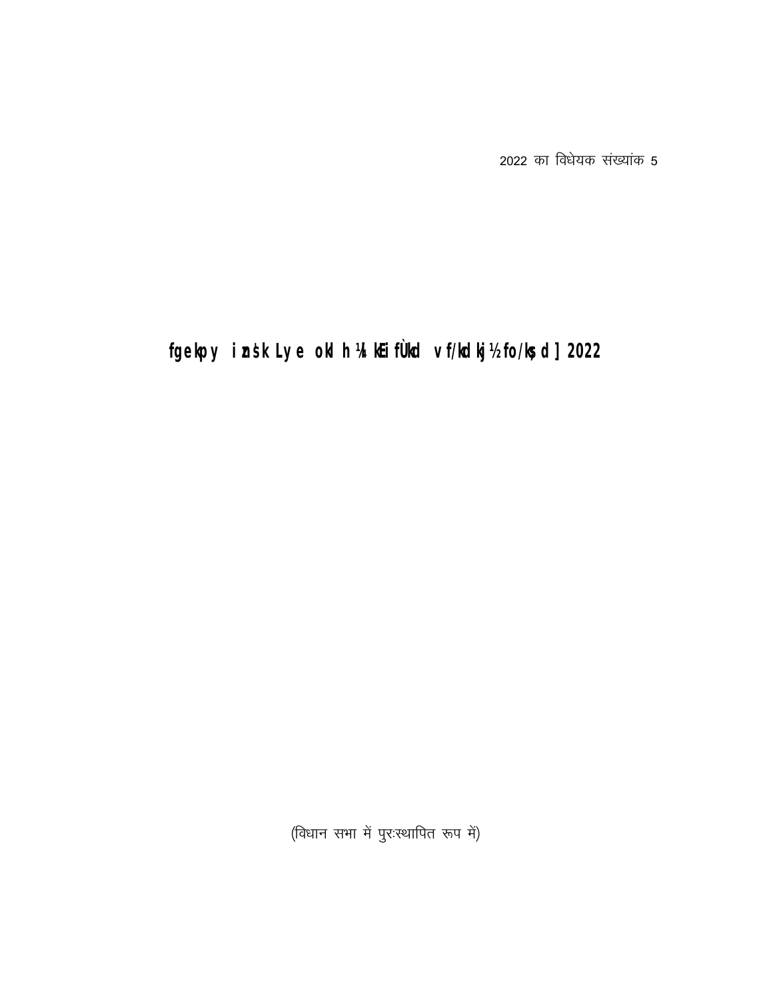2022 का विधेयक संख्यांक 5

# fgelpy insk Lye old h 'Allifuld vf/ldlj'/do/led] 2022

(विधान सभा में पुरःस्थापित रूप में)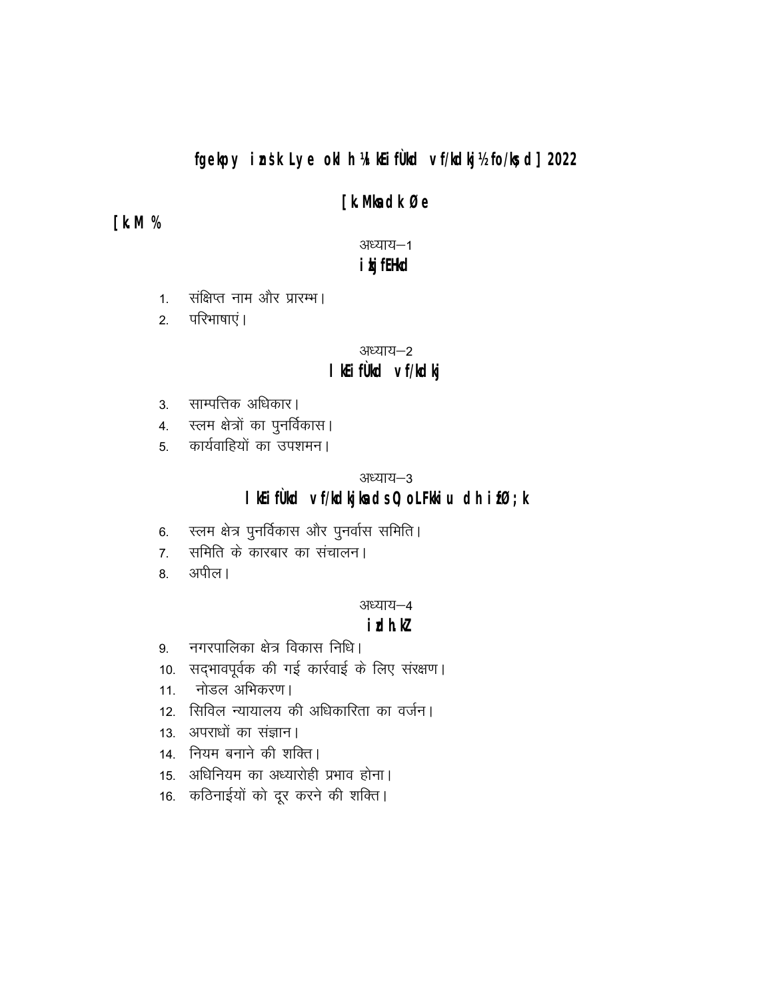### fgelpy insk Lye old h 'Altifuld vf/ldlji'/do/lsd] 2022

### **[kMedkØe**

### **[kM%**

अध्याय-1

## **i kj filld**

- संक्षिप्त नाम और प्रारम्भ।  $1<sup>1</sup>$
- परिभाषाएं ।  $2.$

#### अध्याय–2

### I little vi/ldlj

- 3. साम्पत्तिक अधिकार।
- 4. स्लम क्षेत्रों का पुनर्विकास।
- कार्यवाहियों का उपशमन।  $5<sup>5</sup>$

#### अध्याय-3

### I Kifüld ví/kdijleds0; oLFHiu dh ifØ; k

- 6. स्लम क्षेत्र पुनर्विकास और पुनर्वास समिति।
- समिति के कारबार का संचालन।  $7<sup>1</sup>$
- अपील। 8.

#### अध्याय–4

### *i*dhk

- नगरपालिका क्षेत्र विकास निधि।  $9<sub>1</sub>$
- 10. सद्भावपूर्वक की गई कार्रवाई के लिए संरक्षण।
- 11. नोडल अभिकरण।
- 12. सिविल न्यायालय की अधिकारिता का वर्जन।
- 13. अपराधों का संज्ञान।
- 14. नियम बनाने की शक्ति।
- 15. अधिनियम का अध्यारोही प्रभाव होना।
- 16. कठिनाईयों को दूर करने की शक्ति।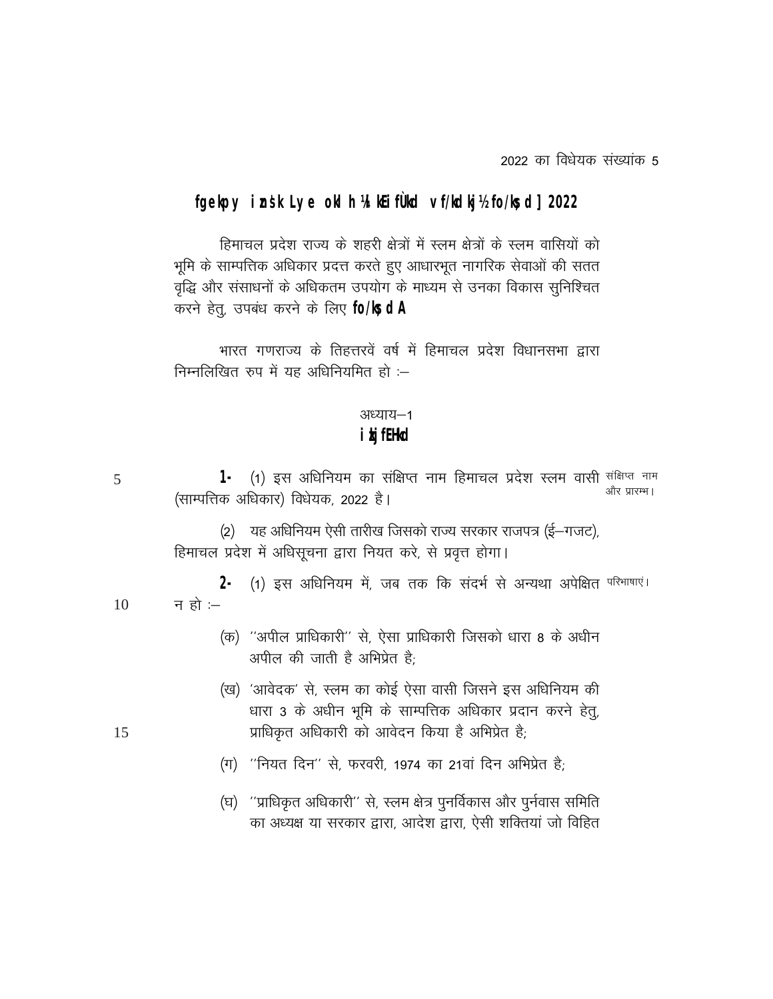2022 का विधेयक संख्यांक 5

### fgelpy insk Lye old h 'A Kifuld vf/ldlg'/do/lsd] 2022

हिमाचल प्रदेश राज्य के शहरी क्षेत्रों में स्लम क्षेत्रों के स्लम वासियों को भूमि के साम्पत्तिक अधिकार प्रदत्त करते हुए आधारभूत नागरिक सेवाओं की सतत वृद्धि और संसाधनों के अधिकतम उपयोग के माध्यम से उनका विकास सुनिश्चित करने हेत्, उपबंध करने के लिए **fo/ls dA** 

भारत गणराज्य के तिहत्तरवें वर्ष में हिमाचल प्रदेश विधानसभा द्वारा निम्नलिखित रुप में यह अधिनियमित हो :-

### अध्याय-1

### **i kj filld**

5

10

15

1- (1) इस अधिनियम का संक्षिप्त नाम हिमाचल प्रदेश स्लम वासी <sup>संक्षिप्त नाम</sup> और प्रारम्भ। (साम्पत्तिक अधिकार) विधेयक, 2022 है।

(2) यह अधिनियम ऐसी तारीख जिसको राज्य सरकार राजपत्र (ई-गजट), हिमाचल प्रदेश में अधिसूचना द्वारा नियत करे, से प्रवृत्त होगा।

2 (1) इस अधिनियम में, जब तक कि संदर्भ से अन्यथा अपेक्षित <sup>परिभाषाएं ।</sup> न हो $=$ 

- (क) "अपील प्राधिकारी" से, ऐसा प्राधिकारी जिसको धारा 8 के अधीन अपील की जाती है अभिप्रेत है:
- (ख) 'आवेदक' से, स्लम का कोई ऐसा वासी जिसने इस अधिनियम की धारा 3 के अधीन भूमि के साम्पत्तिक अधिकार प्रदान करने हेतू, प्राधिकृत अधिकारी को आवेदन किया है अभिप्रेत है;
- (ग) "नियत दिन" से, फरवरी, 1974 का 21वां दिन अभिप्रेत है;
- (घ) "प्राधिकृत अधिकारी" से, स्लम क्षेत्र पुनर्विकास और पुर्नवास समिति का अध्यक्ष या सरकार द्वारा, आदेश द्वारा, ऐसी शक्तियां जो विहित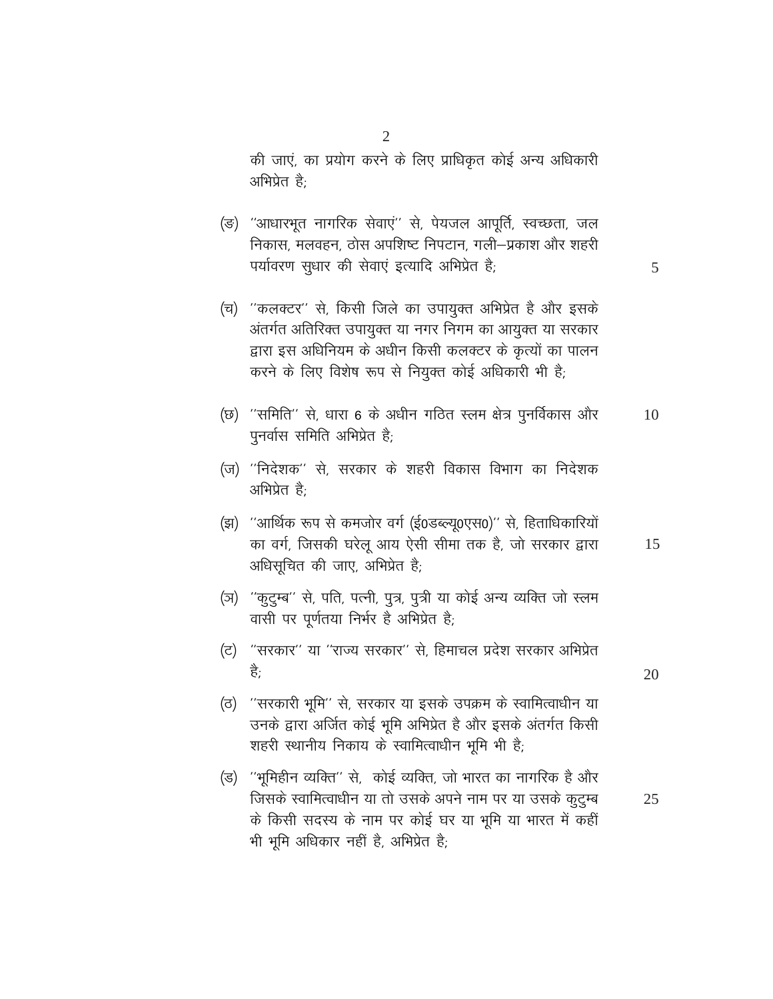की जाएं, का प्रयोग करने के लिए प्राधिकृत कोई अन्य अधिकारी अभिप्रेत है;

- (ङ) "आधारभूत नागरिक सेवाएं" से, पेयजल आपूर्ति, स्वच्छता, जल निकास, मलवहन, ठोस अपशिष्ट निपटान, गली–प्रकाश और शहरी पर्यावरण सुधार की सेवाएं इत्यादि अभिप्रेत है;
- (च) ''कलक्टर'' से, किसी जिले का उपायुक्त अभिप्रेत है और इसके अंतर्गत अतिरिक्त उपायुक्त या नगर निगम का आयुक्त या सरकार द्वारा इस अधिनियम के अधीन किसी कलक्टर के कृत्यों का पालन करने के लिए विशेष रूप से नियुक्त कोई अधिकारी भी है;
- (छ) "समिति" से, धारा 6 के अधीन गठित स्लम क्षेत्र पुनर्विकास और 10 पुनर्वास समिति अभिप्रेत है;
- (ज) ''निदेशक'' से, सरकार के शहरी विकास विभाग का निदेशक अभिप्रेत है;
- (झ) "आर्थिक रूप से कमजोर वर्ग (ई0डब्ल्यू0एस0)" से, हिताधिकारियों का वर्ग, जिसकी घरेलू आय ऐसी सीमा तक है, जो सरकार द्वारा अधिसूचित की जाए, अभिप्रेत है;
- (ञ) "कुटुम्ब" से, पति, पत्नी, पुत्र, पुत्री या कोई अन्य व्यक्ति जो स्लम वासी पर पूर्णतया निर्भर है अभिप्रेत है;
- (ट) "सरकार" या "राज्य सरकार" से, हिमाचल प्रदेश सरकार अभिप्रेत है:
- ं''सरकारी भूमि'' से, सरकार या इसके उपक्रम के स्वामित्वाधीन या (ਰ) उनके द्वारा अर्जित कोई भूमि अभिप्रेत है और इसके अंतर्गत किसी शहरी स्थानीय निकाय के स्वामित्वाधीन भूमि भी है;
- (ड) ''भूमिहीन व्यक्ति'' से, कोई व्यक्ति, जो भारत का नागरिक है और जिसके स्वामित्वाधीन या तो उसके अपने नाम पर या उसके कुट्म्ब 25 के किसी सदस्य के नाम पर कोई घर या भूमि या भारत में कहीं भी भूमि अधिकार नहीं है, अभिप्रेत है;

5

15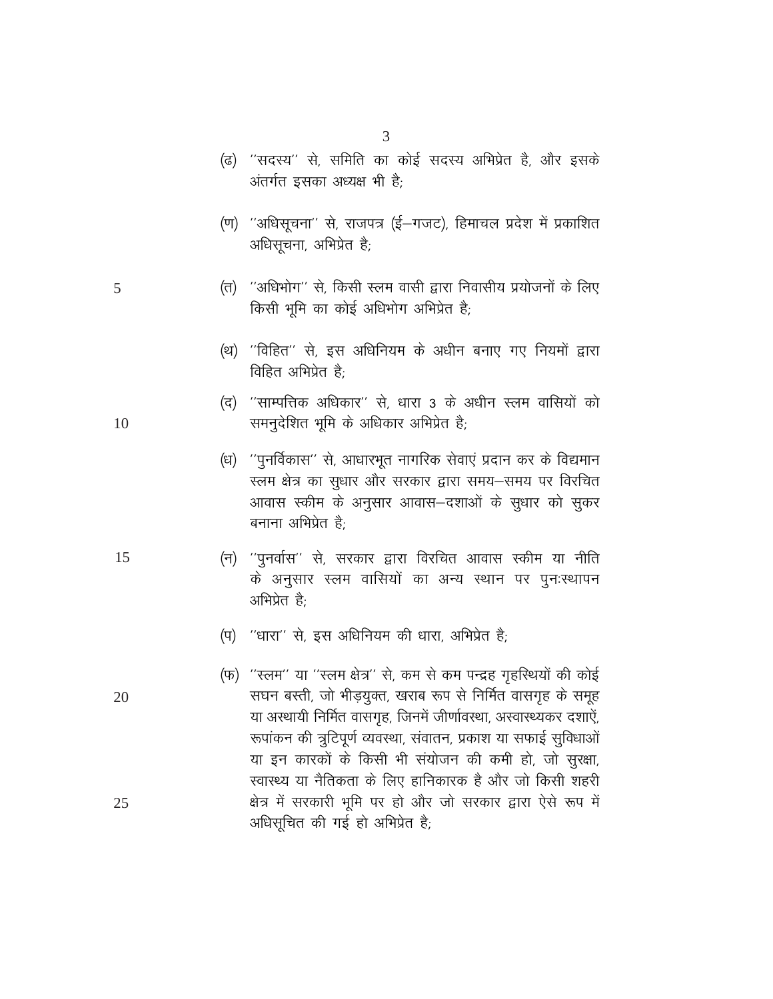#### 3

- (ढ) ''सदस्य'' से, समिति का कोई सदस्य अभिप्रेत है, और इसके अंतर्गत इसका अध्यक्ष भी है;
- (ण) "अधिसूचना" से, राजपत्र (ई-गजट), हिमाचल प्रदेश में प्रकाशित अधिसूचना, अभिप्रेत है;
- (त) ''अधिभोग'' से, किसी स्लम वासी द्वारा निवासीय प्रयोजनों के लिए किसी भूमि का कोई अधिभोग अभिप्रेत है;
- (थ) "विहित" से, इस अधिनियम के अधीन बनाए गए नियमों द्वारा विहित अभिप्रेत है:
- (द) ''साम्पत्तिक अधिकार'' से, धारा 3 के अधीन स्लम वासियों को समनुदेशित भूमि के अधिकार अभिप्रेत है;
- (ध) "पुनर्विकास" से, आधारभूत नागरिक सेवाएं प्रदान कर के विद्यमान स्लम क्षेत्र का सुधार और सरकार द्वारा समय-समय पर विरचित आवास स्कीम के अनुसार आवास-दशाओं के सुधार को सुकर बनाना अभिप्रेत है<sup>.</sup>
- (न) "पुनर्वास" से, सरकार द्वारा विरचित आवास स्कीम या नीति के अनुसार स्लम वासियों का अन्य स्थान पर पुनःस्थापन अभिप्रेत है:
- (प) "धारा" से, इस अधिनियम की धारा, अभिप्रेत है;
- (फ) "स्लम" या "स्लम क्षेत्र" से, कम से कम पन्द्रह गृहस्थियों की कोई सघन बस्ती, जो भीड़युक्त, खराब रूप से निर्मित वासगृह के समूह या अस्थायी निर्मित वासगृह, जिनमें जीर्णावस्था, अस्वास्थ्यकर दशाऐं, रूपांकन की त्रुटिपूर्ण व्यवस्था, संवातन, प्रकाश या सफाई सुविधाओं या इन कारकों के किसी भी संयोजन की कमी हो, जो सुरक्षा, स्वास्थ्य या नैतिकता के लिए हानिकारक है और जो किसी शहरी क्षेत्र में सरकारी भूमि पर हो और जो सरकार द्वारा ऐसे रूप में अधिसूचित की गई हो अभिप्रेत है;

10

5

15

20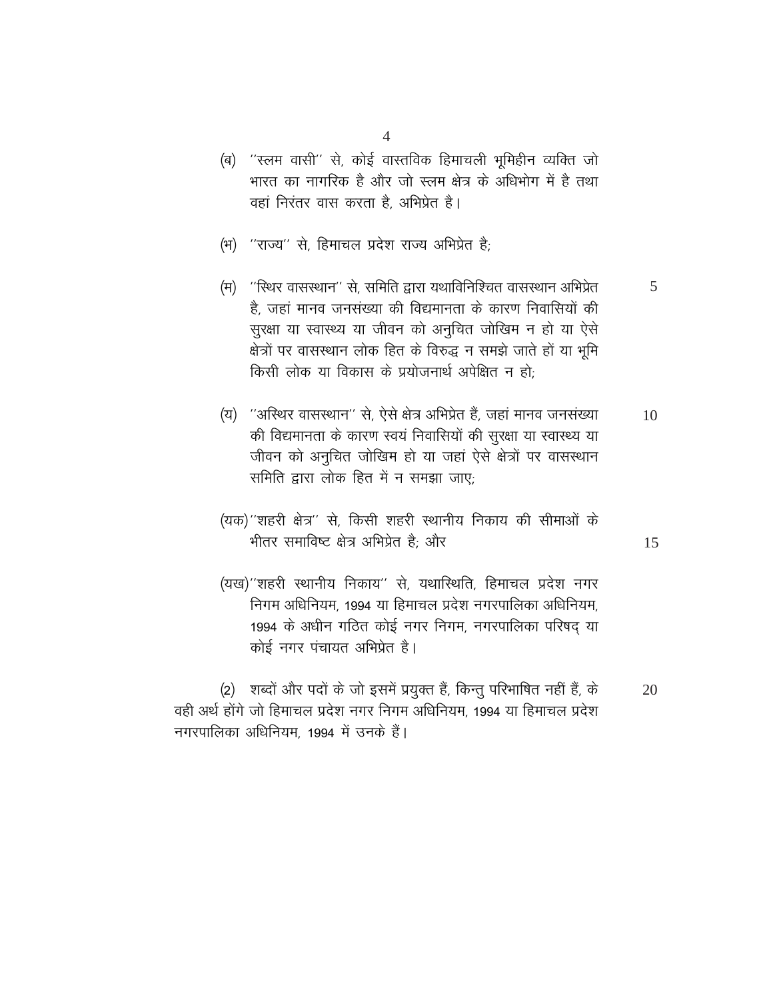- (ब) ''स्लम वासी'' से, कोई वास्तविक हिमाचली भूमिहीन व्यक्ति जो भारत का नागरिक है और जो स्लम क्षेत्र के अधिभोग में है तथा वहां निरंतर वास करता है, अभिप्रेत है।
	- (भ) "राज्य" से. हिमाचल प्रदेश राज्य अभिप्रेत है:
	- (म) "स्थिर वासस्थान" से. समिति द्वारा यथाविनिश्चित वासस्थान अभिप्रेत 5 है, जहां मानव जनसंख्या की विद्यमानता के कारण निवासियों की सुरक्षा या स्वास्थ्य या जीवन को अनुचित जोखिम न हो या ऐसे क्षेत्रों पर वासस्थान लोक हित के विरुद्ध न समझे जाते हों या भूमि किसी लोक या विकास के प्रयोजनार्थ अपेक्षित न हो:
	- (य) "अस्थिर वासस्थान" से, ऐसे क्षेत्र अभिप्रेत हैं, जहां मानव जनसंख्या 10 की विद्यमानता के कारण स्वयं निवासियों की सुरक्षा या स्वास्थ्य या जीवन को अनुचित जोखिम हो या जहां ऐसे क्षेत्रों पर वासस्थान समिति द्वारा लोक हित में न समझा जाए:
	- (यक)"शहरी क्षेत्र" से, किसी शहरी स्थानीय निकाय की सीमाओं के भीतर समाविष्ट क्षेत्र अभिप्रेत है; और
	- (यख)''शहरी स्थानीय निकाय'' से, यथास्थिति, हिमाचल प्रदेश नगर निगम अधिनियम. 1994 या हिमाचल प्रदेश नगरपालिका अधिनियम. 1994 के अधीन गठित कोई नगर निगम, नगरपालिका परिषद या कोई नगर पंचायत अभिप्रेत है।

(2) शब्दों और पदों के जो इसमें प्रयुक्त हैं, किन्तु परिभाषित नहीं हैं, के  $20$ वही अर्थ होंगे जो हिमाचल प्रदेश नगर निगम अधिनियम, 1994 या हिमाचल प्रदेश नगरपालिका अधिनियम, 1994 में उनके हैं।

 $\overline{4}$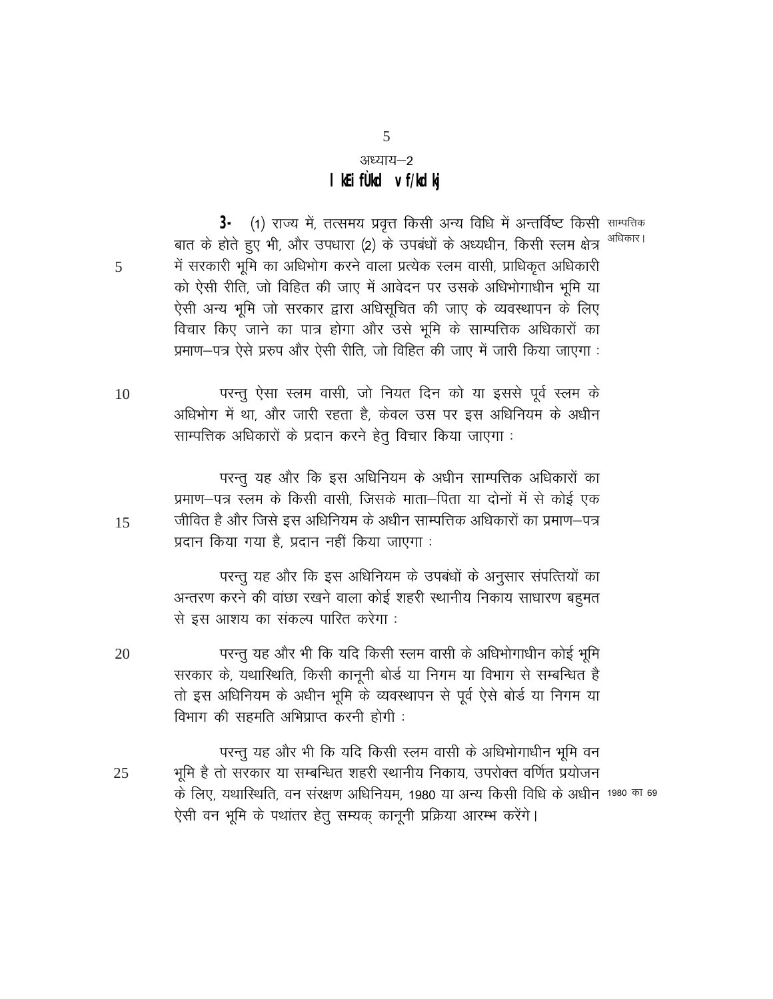## अध्याय–2 I Kifud vf/ldki

5

3- (1) राज्य में, तत्समय प्रवृत्त किसी अन्य विधि में अन्तर्विष्ट किसी साम्पत्तिक बात के होते हुए भी, और उपधारा (2) के उपबंधों के अध्यधीन, किसी स्लम क्षेत्र <sup>अधिकार।</sup> में सरकारी भूमि का अधिभोग करने वाला प्रत्येक स्लम वासी, प्राधिकृत अधिकारी को ऐसी रीति, जो विहित की जाए में आवेदन पर उसके अधिभोगाधीन भूमि या ऐसी अन्य भूमि जो सरकार द्वारा अधिसूचित की जाए के व्यवस्थापन के लिए विचार किए जाने का पात्र होगा और उसे भूमि के साम्पत्तिक अधिकारों का प्रमाण-पत्र ऐसे प्ररुप और ऐसी रीति, जो विहित की जाए में जारी किया जाएगा :

परन्तु ऐसा स्लम वासी, जो नियत दिन को या इससे पूर्व स्लम के 10 अधिभोग में था, और जारी रहता है, केवल उस पर इस अधिनियम के अधीन साम्पत्तिक अधिकारों के प्रदान करने हेतु विचार किया जाएगा :

परन्तु यह और कि इस अधिनियम के अधीन साम्पत्तिक अधिकारों का प्रमाण–पत्र स्लम के किसी वासी, जिसके माता–पिता या दोनों में से कोई एक जीवित है और जिसे इस अधिनियम के अधीन साम्पत्तिक अधिकारों का प्रमाण–पत्र प्रदान किया गया है, प्रदान नहीं किया जाएगा :

परन्तु यह और कि इस अधिनियम के उपबंधों के अनुसार संपत्तियों का अन्तरण करने की वांछा रखने वाला कोई शहरी स्थानीय निकाय साधारण बहुमत से इस आशय का संकल्प पारित करेगा :

परन्तु यह और भी कि यदि किसी स्लम वासी के अधिभोगाधीन कोई भूमि 20 सरकार के, यथास्थिति, किसी कानूनी बोर्ड या निगम या विभाग से सम्बन्धित है तो इस अधिनियम के अधीन भूमि के व्यवस्थापन से पूर्व ऐसे बोर्ड या निगम या विभाग की सहमति अभिप्राप्त करनी होगी :

परन्तू यह और भी कि यदि किसी स्लम वासी के अधिभोगाधीन भूमि वन भूमि है तो सरकार या सम्बन्धित शहरी स्थानीय निकाय, उपरोक्त वर्णित प्रयोजन 25 के लिए, यथास्थिति, वन संरक्षण अधिनियम, 1980 या अन्य किसी विधि के अधीन 1980 का 69 ऐसी वन भूमि के पथांतर हेतू सम्यक कानूनी प्रक्रिया आरम्भ करेंगे।

5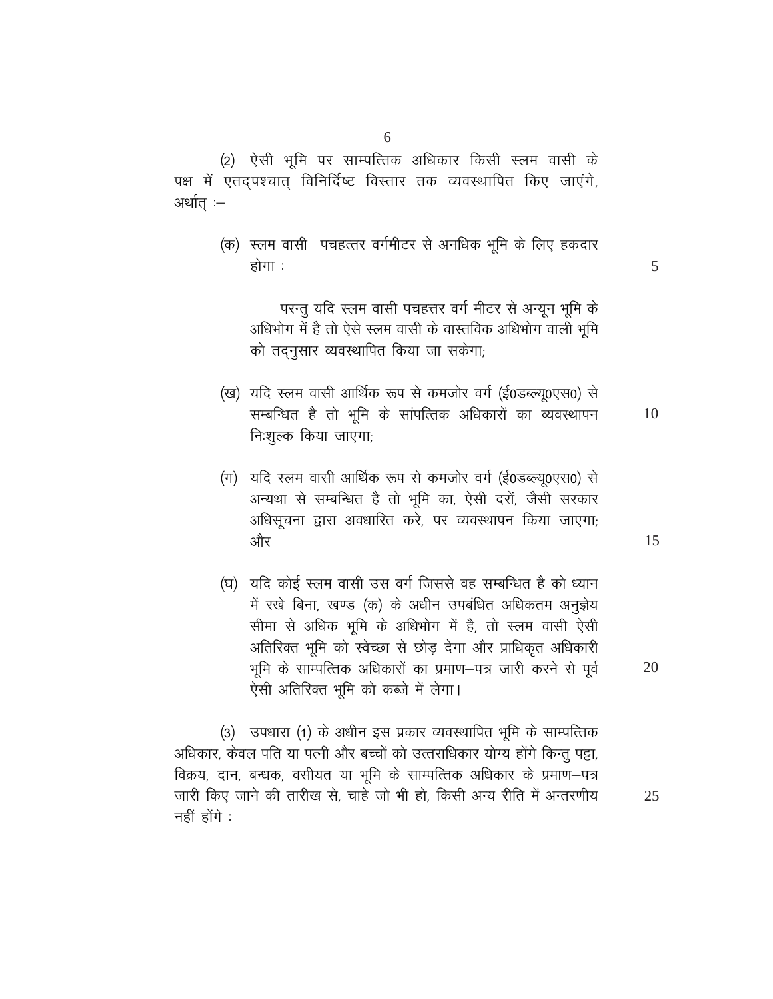(2) ऐसी भूमि पर साम्पत्तिक अधिकार किसी स्लम वासी के पक्ष में एतदपश्चात् विनिर्दिष्ट विस्तार तक व्यवस्थापित किए जाएंगे, अर्थात :–

> (क) स्लम वासी पचहत्तर वर्गमीटर से अनधिक भूमि के लिए हकदार होगा :

परन्तु यदि स्लम वासी पचहत्तर वर्ग मीटर से अन्यून भूमि के अधिभोग में है तो ऐसे स्लम वासी के वास्तविक अधिभोग वाली भूमि को तदनुसार व्यवस्थापित किया जा सकेगा;

- (ख) यदि स्लम वासी आर्थिक रूप से कमजोर वर्ग (ई0डब्ल्यू0एस0) से सम्बन्धित है तो भूमि के सांपत्तिक अधिकारों का व्यवस्थापन 10 निःशुल्क किया जाएगा;
- (ग) यदि स्लम वासी आर्थिक रूप से कमजोर वर्ग (ई0डब्ल्यू0एस0) से अन्यथा से सम्बन्धित है तो भूमि का, ऐसी दरों, जैसी सरकार अधिसूचना द्वारा अवधारित करे, पर व्यवस्थापन किया जाएगा; और
- (घ) यदि कोई स्लम वासी उस वर्ग जिससे वह सम्बन्धित है को ध्यान में रखे बिना, खण्ड (क) के अधीन उपबंधित अधिकतम अनुज्ञेय सीमा से अधिक भूमि के अधिभोग में है, तो स्लम वासी ऐसी अतिरिक्त भूमि को स्वेच्छा से छोड़ देगा और प्राधिकृत अधिकारी भूमि के साम्पत्तिक अधिकारों का प्रमाण–पत्र जारी करने से पूर्व ऐसी अतिरिक्त भूमि को कब्जे में लेगा।

(3) उपधारा (1) के अधीन इस प्रकार व्यवस्थापित भूमि के साम्पत्तिक अधिकार, केवल पति या पत्नी और बच्चों को उत्तराधिकार योग्य होंगे किन्तु पट्टा, विक्रय, दान, बन्धक, वसीयत या भूमि के साम्पत्तिक अधिकार के प्रमाण-पत्र जारी किए जाने की तारीख से. चाहे जो भी हो. किसी अन्य रीति में अन्तरणीय नहीं होंगे :

20

25

15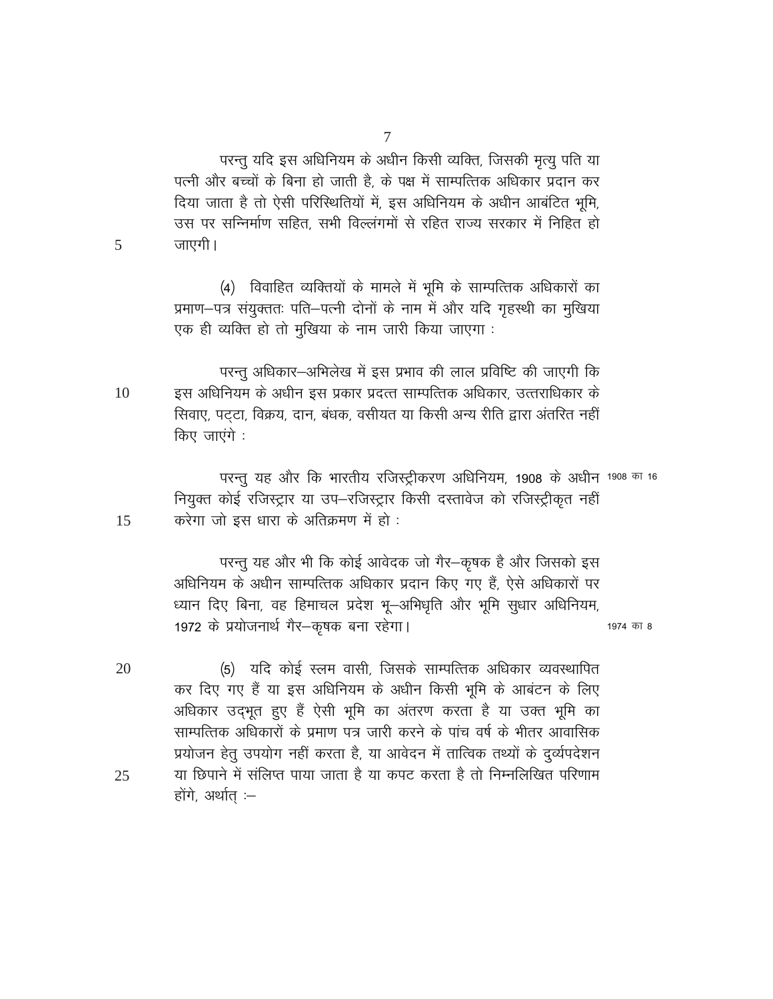परन्तु यदि इस अधिनियम के अधीन किसी व्यक्ति, जिसकी मृत्यु पति या पत्नी और बच्चों के बिना हो जाती है, के पक्ष में साम्पत्तिक अधिकार प्रदान कर दिया जाता है तो ऐसी परिस्थितियों में, इस अधिनियम के अधीन आबंटित भूमि, उस पर सन्निर्माण सहित, सभी विल्लंगमों से रहित राज्य सरकार में निहित हो जाएगी।

(4) विवाहित व्यक्तियों के मामले में भूमि के साम्पत्तिक अधिकारों का प्रमाण-पत्र संयुक्ततः पति-पत्नी दोनों के नाम में और यदि गृहस्थी का मुखिया एक ही व्यक्ति हो तो मुखिया के नाम जारी किया जाएगा :

परन्तु अधिकार-अभिलेख में इस प्रभाव की लाल प्रविष्टि की जाएगी कि इस अधिनियम के अधीन इस प्रकार प्रदत्त साम्पत्तिक अधिकार, उत्तराधिकार के 10 सिवाए, पट़टा, विक्रय, दान, बंधक, वसीयत या किसी अन्य रीति द्वारा अंतरित नहीं किए जाएंगे :

 $\overline{5}$ 

15

परन्तु यह और कि भारतीय रजिस्ट्रीकरण अधिनियम, 1908 के अधीन 1908 का 16 नियुक्त कोई रजिस्ट्रार या उप-रजिस्ट्रार किसी दस्तावेज को रजिस्ट्रीकृत नहीं करेगा जो इस धारा के अतिक्रमण में हो :

परन्तु यह और भी कि कोई आवेदक जो गैर–कृषक है और जिसको इस अधिनियम के अधीन साम्पत्तिक अधिकार प्रदान किए गए हैं, ऐसे अधिकारों पर ध्यान दिए बिना, वह हिमाचल प्रदेश भू-अभिधृति और भूमि सुधार अधिनियम, 1972 के प्रयोजनार्थ गैर-कृषक बना रहेगा।

1974 का 8

20 (5) यदि कोई स्लम वासी, जिसके साम्पत्तिक अधिकार व्यवस्थापित कर दिए गए हैं या इस अधिनियम के अधीन किसी भूमि के आबंटन के लिए अधिकार उदभूत हुए हैं ऐसी भूमि का अंतरण करता है या उक्त भूमि का साम्पत्तिक अधिकारों के प्रमाण पत्र जारी करने के पांच वर्ष के भीतर आवासिक प्रयोजन हेतु उपयोग नहीं करता है, या आवेदन में तात्विक तथ्यों के दुर्व्यपदेशन या छिपाने में संलिप्त पाया जाता है या कपट करता है तो निम्नलिखित परिणाम 25 होंगे, अर्थात :-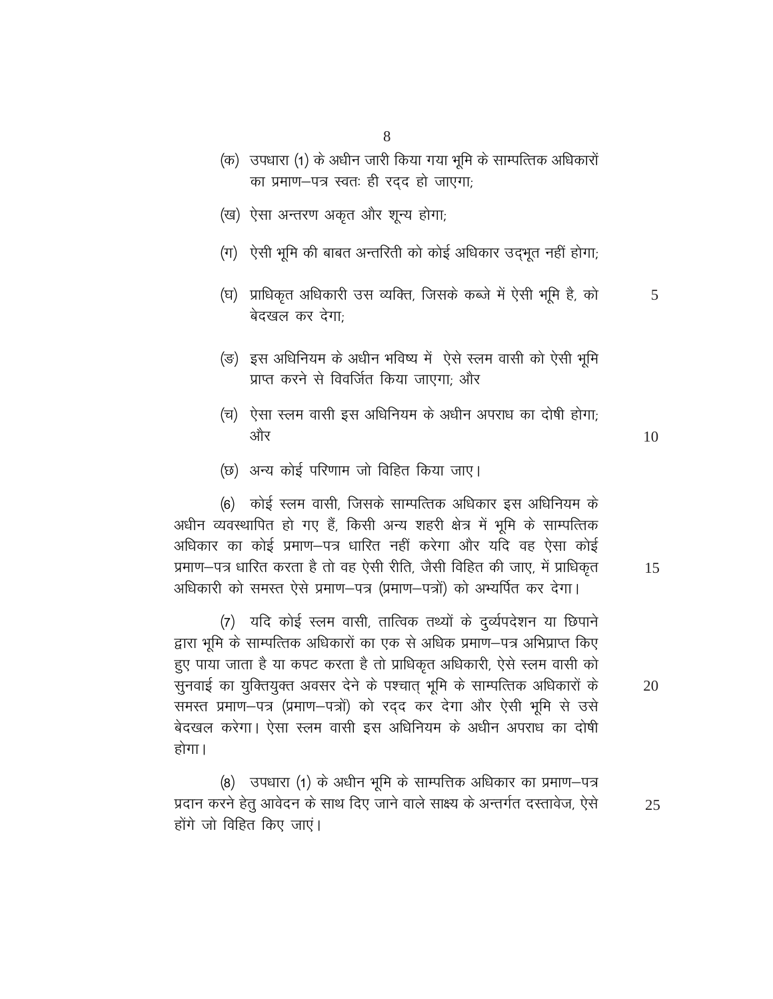- (क) उपधारा (1) के अधीन जारी किया गया भूमि के साम्पत्तिक अधिकारों का प्रमाण-पत्र स्वतः ही रदद हो जाएगा;
- (ख) ऐसा अन्तरण अकृत और शून्य होगा;
- (ग) ऐसी भूमि की बाबत अन्तरिती को कोई अधिकार उदभूत नहीं होगा;
- (घ) प्राधिकृत अधिकारी उस व्यक्ति, जिसके कब्जे में ऐसी भूमि है, को 5 बेदखल कर देगा;
- (ङ) इस अधिनियम के अधीन भविष्य में ऐसे स्लम वासी को ऐसी भूमि प्राप्त करने से विवर्जित किया जाएगा: और
- (च) ऐसा स्लम वासी इस अधिनियम के अधीन अपराध का दोषी होगा; और

10

15

(छ) अन्य कोई परिणाम जो विहित किया जाए।

(6) कोई स्लम वासी, जिसके साम्पत्तिक अधिकार इस अधिनियम के अधीन व्यवस्थापित हो गए हैं, किसी अन्य शहरी क्षेत्र में भूमि के साम्पत्तिक अधिकार का कोई प्रमाण–पत्र धारित नहीं करेगा और यदि वह ऐसा कोई प्रमाण-पत्र धारित करता है तो वह ऐसी रीति, जैसी विहित की जाए, में प्राधिकृत अधिकारी को समस्त ऐसे प्रमाण–पत्र (प्रमाण–पत्रों) को अभ्यर्पित कर देगा।

(7) यदि कोई स्लम वासी, तात्विक तथ्यों के दुर्व्यपदेशन या छिपाने द्वारा भूमि के साम्पत्तिक अधिकारों का एक से अधिक प्रमाण–पत्र अभिप्राप्त किए हुए पाया जाता है या कपट करता है तो प्राधिकृत अधिकारी, ऐसे स्लम वासी को सुनवाई का युक्तियुक्त अवसर देने के पश्चात् भूमि के साम्पत्तिक अधिकारों के समस्त प्रमाण-पत्र (प्रमाण-पत्रों) को रदद कर देगा और ऐसी भूमि से उसे बेदखल करेगा। ऐसा स्लम वासी इस अधिनियम के अधीन अपराध का दोषी होगा।

(8) उपधारा (1) के अधीन भूमि के साम्पत्तिक अधिकार का प्रमाण-पत्र प्रदान करने हेतु आवेदन के साथ दिए जाने वाले साक्ष्य के अन्तर्गत दस्तावेज, ऐसे 25 होंगे जो विहित किए जाएं।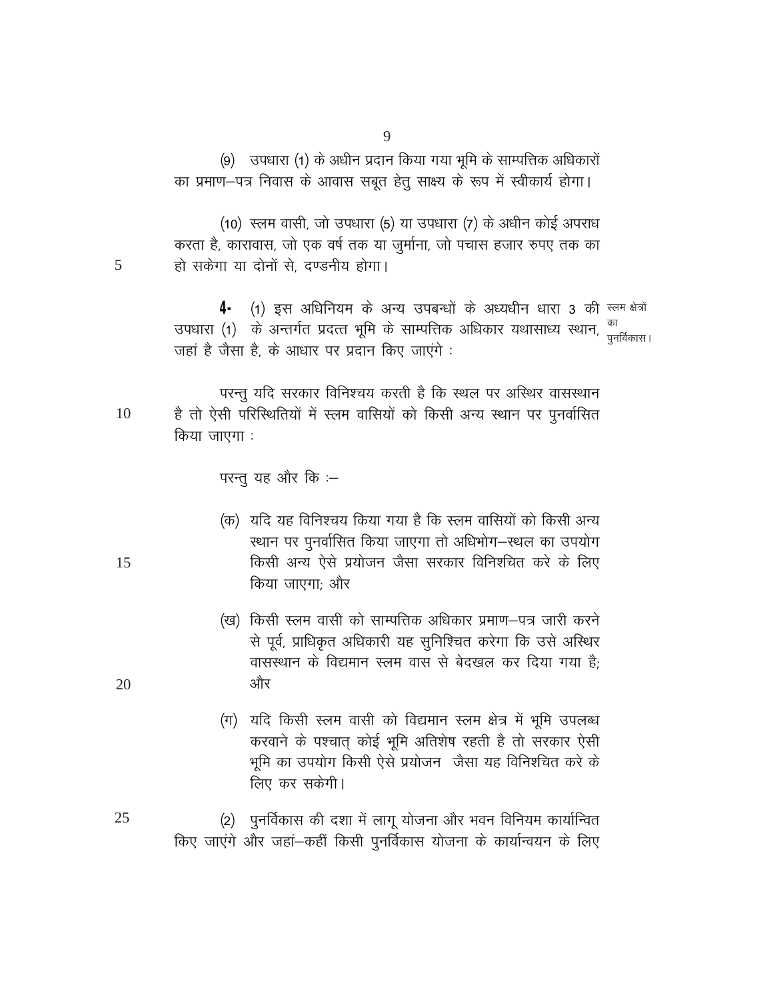(9) उपधारा (1) के अधीन प्रदान किया गया भूमि के साम्पत्तिक अधिकारों का प्रमाण-पत्र निवास के आवास सबत हेतु साक्ष्य के रूप में स्वीकार्य होगा।

(10) रलम वासी, जो उपधारा (5) या उपधारा (7) के अधीन कोई अपराध करता है, कारावास, जो एक वर्ष तक या जुर्माना, जो पचास हजार रुपए तक का हो सकेगा या दोनों से. दण्डनीय होगा।

4 (1) इस अधिनियम के अन्य उपबन्धों के अध्यधीन धारा 3 की स्लम क्षेत्रों उपधारा (1) के अन्तर्गत प्रदत्त भूमि के साम्पत्तिक अधिकार यथासाध्य स्थान, <sup>का</sup> जहां है जैसा है, के आधार पर प्रदान किए जाएंगे:

परन्तु यदि सरकार विनिश्चय करती है कि स्थल पर अस्थिर वासस्थान है तो ऐसी परिस्थितियों में स्लम वासियों को किसी अन्य स्थान पर पुनर्वासित 10 किया जाएगा :

परन्तु यह और कि :–

- (क) यदि यह विनिश्चय किया गया है कि स्लम वासियों को किसी अन्य स्थान पर पुनर्वासित किया जाएगा तो अधिभोग-स्थल का उपयोग किसी अन्य ऐसे प्रयोजन जैसा सरकार विनिश्चित करे के लिए किया जाएगा: और
- (ख) किसी स्लम वासी को साम्पत्तिक अधिकार प्रमाण–पत्र जारी करने से पूर्व, प्राधिकृत अधिकारी यह सुनिश्चित करेगा कि उसे अस्थिर वासस्थान के विद्यमान स्लम वास से बेदखल कर दिया गया है<sup>.</sup> और
- (ग) यदि किसी स्लम वासी को विद्यमान स्लम क्षेत्र में भूमि उपलब्ध करवाने के पश्चात कोई भूमि अतिशेष रहती है तो सरकार ऐसी भूमि का उपयोग किसी ऐसे प्रयोजन जैसा यह विनिश्चित करे के लिए कर सकेगी।
- (2) पुनर्विकास की दशा में लागू योजना और भवन विनियम कार्यान्वित 25 किए जाएंगे और जहां-कहीं किसी पुनर्विकास योजना के कार्यान्वयन के लिए

5

15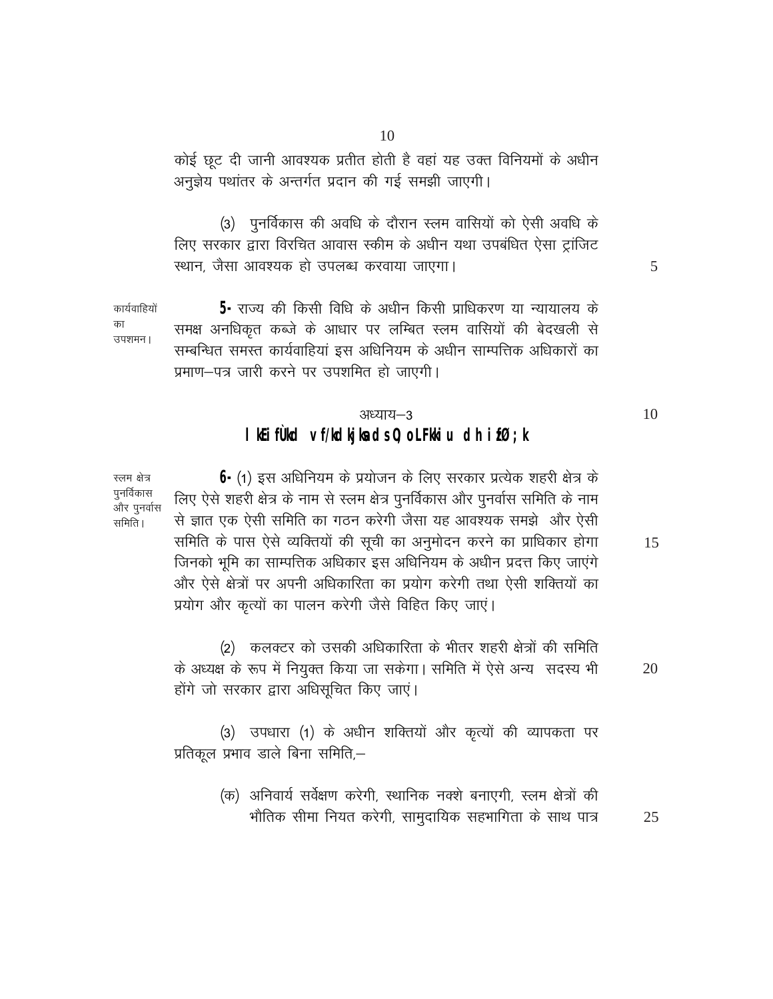कोई छूट दी जानी आवश्यक प्रतीत होती है वहां यह उक्त विनियमों के अधीन अनुज्ञेय पथांतर के अन्तर्गत प्रदान की गई समझी जाएगी।

(3) पुनर्विकास की अवधि के दौरान स्लम वासियों को ऐसी अवधि के लिए सरकार द्वारा विरचित आवास स्कीम के अधीन यथा उपबंधित ऐसा ट्रांजिट स्थान, जैसा आवश्यक हो उपलब्ध करवाया जाएगा।

5- राज्य की किसी विधि के अधीन किसी प्राधिकरण या न्यायालय के कार्यवाहियों समक्ष अनधिकृत कब्जे के आधार पर लम्बित स्लम वासियों की बेदखली से उपशमन। सम्बन्धित समस्त कार्यवाहियां इस अधिनियम के अधीन साम्पत्तिक अधिकारों का प्रमाण-पत्र जारी करने पर उपशमित हो जाएगी।

### अध्याय-3 I Kifud ví/klijleds0; oLFHiu dh ifØ; k

स्लम क्षेत्र पुनर्विकास और पुनर्वास समिति ।

का

 $\bigoplus$  (1) इस अधिनियम के प्रयोजन के लिए सरकार प्रत्येक शहरी क्षेत्र के लिए ऐसे शहरी क्षेत्र के नाम से स्लम क्षेत्र पुनर्विकास और पुनर्वास समिति के नाम से ज्ञात एक ऐसी समिति का गठन करेगी जैसा यह आवश्यक समझे और ऐसी समिति के पास ऐसे व्यक्तियों की सूची का अनुमोदन करने का प्राधिकार होगा जिनको भूमि का साम्पत्तिक अधिकार इस अधिनियम के अधीन प्रदत्त किए जाएंगे और ऐसे क्षेत्रों पर अपनी अधिकारिता का प्रयोग करेगी तथा ऐसी शक्तियों का प्रयोग और कृत्यों का पालन करेगी जैसे विहित किए जाएं।

(2) कलक्टर को उसकी अधिकारिता के भीतर शहरी क्षेत्रों की समिति के अध्यक्ष के रूप में नियुक्त किया जा सकेगा। समिति में ऐसे अन्य सदस्य भी 20 होंगे जो सरकार द्वारा अधिसूचित किए जाएं।

(3) उपधारा (1) के अधीन शक्तियों और कृत्यों की व्यापकता पर प्रतिकूल प्रभाव डाले बिना समिति,–

> (क) अनिवार्य सर्वेक्षण करेगी, स्थानिक नक्शे बनाएगी, स्लम क्षेत्रों की भौतिक सीमा नियत करेगी, सामुदायिक सहभागिता के साथ पात्र 25

5

15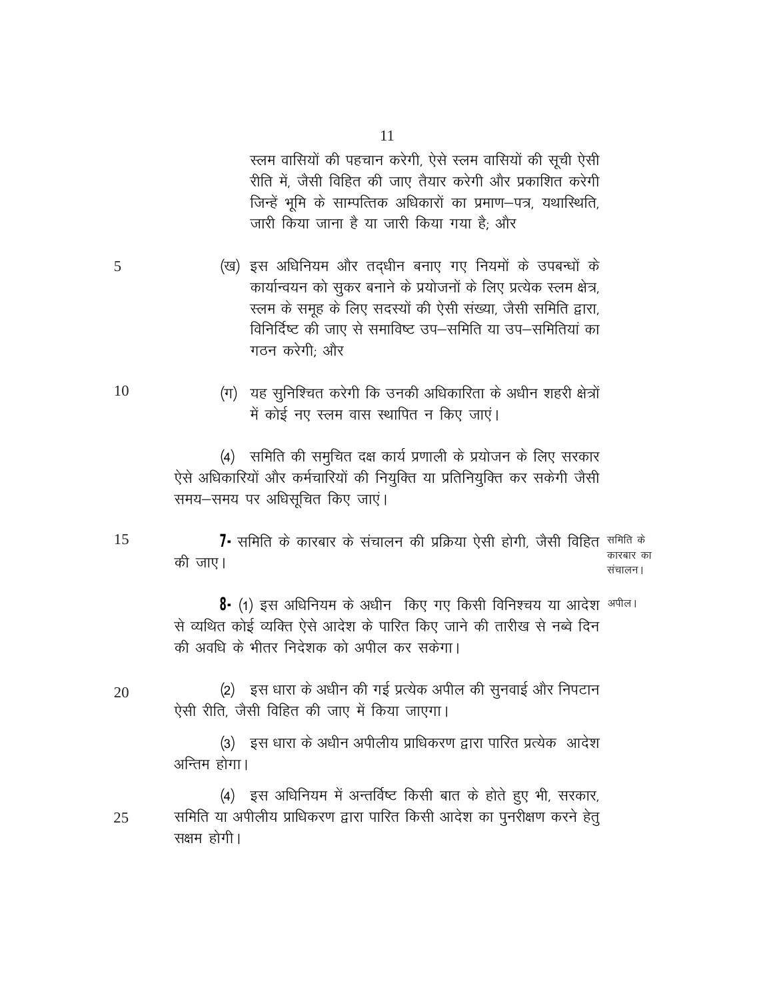स्लम वासियों की पहचान करेगी, ऐसे स्लम वासियों की सूची ऐसी रीति में, जैसी विहित की जाए तैयार करेगी और प्रकाशित करेगी जिन्हें भूमि के साम्पत्तिक अधिकारों का प्रमाण–पत्र, यथास्थिति, जारी किया जाना है या जारी किया गया है; और

- (ख) इस अधिनियम और तदधीन बनाए गए नियमों के उपबन्धों के कार्यान्वयन को सुकर बनाने के प्रयोजनों के लिए प्रत्येक स्लम क्षेत्र, स्लम के समूह के लिए सदस्यों की ऐसी संख्या, जैसी समिति द्वारा, विनिर्दिष्ट की जाए से समाविष्ट उप–समिति या उप–समितियां का गठन करेगी: और
	- (ग) यह सुनिश्चित करेगी कि उनकी अधिकारिता के अधीन शहरी क्षेत्रों में कोई नए स्लम वास स्थापित न किए जाएं।

(4) समिति की समुचित दक्ष कार्य प्रणाली के प्रयोजन के लिए सरकार ऐसे अधिकारियों और कर्मचारियों की नियुक्ति या प्रतिनियुक्ति कर सकेगी जैसी समय-समय पर अधिसूचित किए जाएं।

**7-** समिति के कारबार के संचालन की प्रक्रिया ऐसी होगी, जैसी विहित <sup>समिति के</sup> कारबार का की जाए। संचालन।

8- (1) इस अधिनियम के अधीन किए गए किसी विनिश्चय या आदेश <sup>अपील।</sup> से व्यथित कोई व्यक्ति ऐसे आदेश के पारित किए जाने की तारीख से नब्वे दिन की अवधि के भीतर निदेशक को अपील कर सकेगा।

(2) इस धारा के अधीन की गई प्रत्येक अपील की सुनवाई और निपटान 20 ऐसी रीति. जैसी विहित की जाए में किया जाएगा।

> (3) इस धारा के अधीन अपीलीय प्राधिकरण द्वारा पारित प्रत्येक आदेश अन्तिम होगा।

(4) इस अधिनियम में अन्तर्विष्ट किसी बात के होते हुए भी, सरकार, समिति या अपीलीय प्राधिकरण द्वारा पारित किसी आदेश का पुनरीक्षण करने हेतू 25 सक्षम होगी।

15

5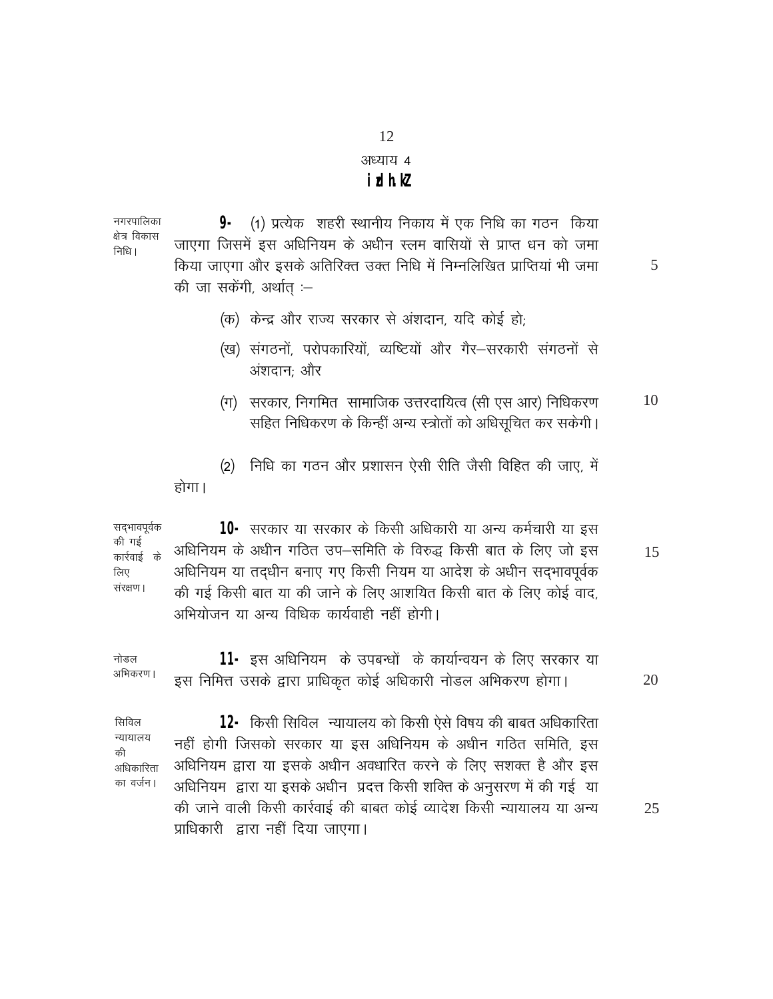#### अध्याय 4

#### **idhk**

नगरपालिका 9- (1) प्रत्येक शहरी स्थानीय निकाय में एक निधि का गठन किया क्षेत्र विकास जाएगा जिसमें इस अधिनियम के अधीन स्लम वासियों से प्राप्त धन को जमा निधि। किया जाएगा और इसके अतिरिक्त उक्त निधि में निम्नलिखित प्राप्तियां भी जमा की जा सकेंगी, अर्थात :-

5

- (क) केन्द्र और राज्य सरकार से अंशदान, यदि कोई हो;
- (ख) संगठनों, परोपकारियों, व्यष्टियों और गैर-सरकारी संगठनों से अंशदान: और
- (ग) सरकार, निगमित) सामाजिक उत्तरदायित्व (सी एस आर) निधिकरण 10 सहित निधिकरण के किन्हीं अन्य स्त्रोतों को अधिसुचित कर सकेगी।

(2) निधि का गठन और प्रशासन ऐसी रीति जैसी विहित की जाए. में होगा।

सद्भावपूर्वक 10- सरकार या सरकार के किसी अधिकारी या अन्य कर्मचारी या इस की गई अधिनियम के अधीन गठित उप-समिति के विरुद्ध किसी बात के लिए जो इस 15 कार्रवाई के अधिनियम या तदधीन बनाए गए किसी नियम या आदेश के अधीन सदभावपूर्वक लिए संरक्षण । की गई किसी बात या की जाने के लिए आशयित किसी बात के लिए कोई वाद, अभियोजन या अन्य विधिक कार्यवाही नहीं होगी।

**11-** इस अधिनियम) के उपबन्धों के कार्यान्वयन के लिए सरकार या नोडल अभिकरण । इस निमित्त उसके द्वारा प्राधिकृत कोई अधिकारी नोडल अभिकरण होगा। 20

12- किसी सिविल न्यायालय को किसी ऐसे विषय की बाबत अधिकारिता सिविल न्यायालय नहीं होगी जिसको सरकार या इस अधिनियम के अधीन गठित समिति, इस की अधिनियम द्वारा या इसके अधीन अवधारित करने के लिए सशक्त है और इस अधिकारिता का वर्जन। अधिनियम) द्वारा या इसके अधीन) प्रदत्त किसी शक्ति के अनुसरण में की गई | या की जाने वाली किसी कार्रवाई की बाबत कोई व्यादेश किसी न्यायालय या अन्य प्राधिकारी द्वारा नहीं दिया जाएगा।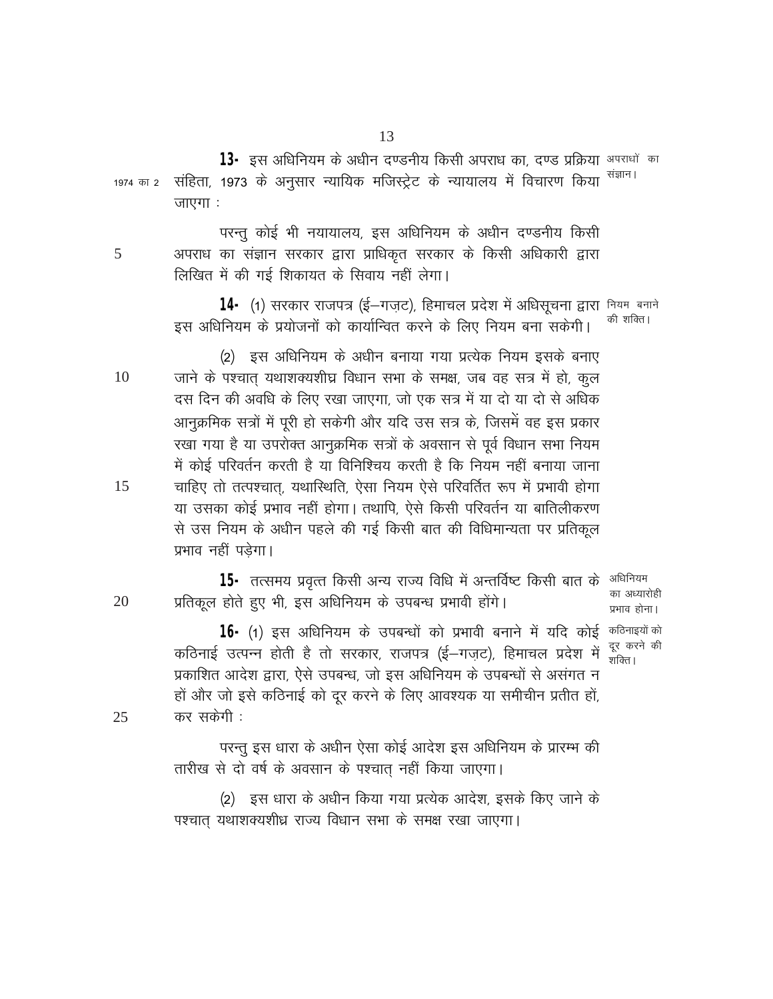13- इस अधिनियम के अधीन दण्डनीय किसी अपराध का, दण्ड प्रक्रिया अपराधों का संहिता, 1973 के अनुसार न्यायिक मजिस्ट्रेट के न्यायालय में विचारण किया <sup>संज्ञान।</sup> 1974 का 2 जाएगा:

परन्तू कोई भी नयायालय, इस अधिनियम के अधीन दण्डनीय किसी अपराध का संज्ञान सरकार द्वारा प्राधिकृत सरकार के किसी अधिकारी द्वारा लिखित में की गई शिकायत के सिवाय नहीं लेगा।

14 (1) सरकार राजपत्र (ई-गज़ट), हिमाचल प्रदेश में अधिसूचना द्वारा नियम बनाने की शक्ति। इस अधिनियम के प्रयोजनों को कार्यान्वित करने के लिए नियम बना सकेगी।

(2) इस अधिनियम के अधीन बनाया गया प्रत्येक नियम इसके बनाए जाने के पश्चात यथाशक्यशीघ्र विधान सभा के समक्ष, जब वह सत्र में हो, कुल 10 दस दिन की अवधि के लिए रखा जाएगा, जो एक सत्र में या दो या दो से अधिक आनुक्रमिक सत्रों में पूरी हो सकेगी और यदि उस सत्र के, जिसमें वह इस प्रकार रखा गया है या उपरोक्त आनुक्रमिक सत्रों के अवसान से पूर्व विधान सभा नियम में कोई परिवर्तन करती है या विनिश्चिय करती है कि नियम नहीं बनाया जाना चाहिए तो तत्पश्चात, यथास्थिति, ऐसा नियम ऐसे परिवर्तित रूप में प्रभावी होगा या उसका कोई प्रभाव नहीं होगा। तथापि, ऐसे किसी परिवर्तन या बातिलीकरण से उस नियम के अधीन पहले की गई किसी बात की विधिमान्यता पर प्रतिकल प्रभाव नहीं पड़ेगा।

**15-** तत्समय प्रवृत्त किसी अन्य राज्य विधि में अन्तर्विष्ट किसी बात के <sup>अधिनियम</sup> का अध्यारोही 20 प्रतिकूल होते हुए भी, इस अधिनियम के उपबन्ध प्रभावी होंगे। प्रभाव होना।

> 16- (1) इस अधिनियम के उपबन्धों को प्रभावी बनाने में यदि कोई कठिनाइयों को दूर करने की कठिनाई उत्पन्न होती है तो सरकार, राजपत्र (ई–गजट), हिमाचल प्रदेश में शक्ति । प्रकाशित आदेश द्वारा, ऐसे उपबन्ध, जो इस अधिनियम के उपबन्धों से असंगत न हों और जो इसे कठिनाई को दर करने के लिए आवश्यक या समीचीन प्रतीत हों. कर सकेगी :

परन्तु इस धारा के अधीन ऐसा कोई आदेश इस अधिनियम के प्रारम्भ की तारीख से दो वर्ष के अवसान के पश्चात नहीं किया जाएगा।

(2) इस धारा के अधीन किया गया प्रत्येक आदेश, इसके किए जाने के पश्चात यथाशक्यशीध्र राज्य विधान सभा के समक्ष रखा जाएगा।

15

5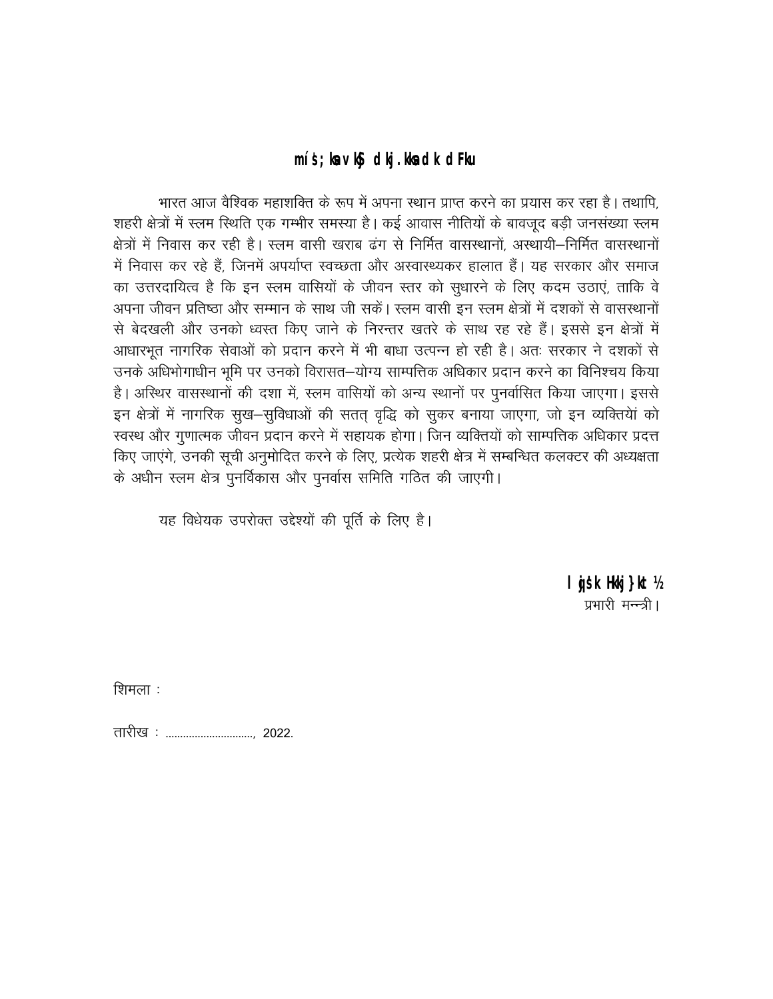### míš; laviš dij. Hadk dilu

भारत आज वैश्विक महाशक्ति के रूप में अपना स्थान प्राप्त करने का प्रयास कर रहा है। तथापि, शहरी क्षेत्रों में स्लम स्थिति एक गम्भीर समस्या है। कई आवास नीतियों के बावजद बड़ी जनसंख्या स्लम क्षेत्रों में निवास कर रही है। स्लम वासी खराब ढंग से निर्मित वासस्थानों, अस्थायी–निर्मित वासस्थानों में निवास कर रहे हैं. जिनमें अपर्याप्त स्वच्छता और अस्वास्थ्यकर हालात हैं। यह सरकार और समाज का उत्तरदायित्व है कि इन स्लम वासियों के जीवन स्तर को सुधारने के लिए कदम उठाएं, ताकि वे अपना जीवन प्रतिष्ठा और सम्मान के साथ जी सकें। स्लम वासी इन स्लम क्षेत्रों में दशकों से वासस्थानों से बेदखली और उनको ध्वस्त किए जाने के निरन्तर खतरे के साथ रह रहे हैं। इससे इन क्षेत्रों में आधारभूत नागरिक सेवाओं को प्रदान करने में भी बाधा उत्पन्न हो रही है। अतः सरकार ने दशकों से उनके अधिभोगाधीन भूमि पर उनको विरासत–योग्य साम्पत्तिक अधिकार प्रदान करने का विनिश्चय किया है। अस्थिर वासस्थानों की दशा में, स्लम वासियों को अन्य स्थानों पर पुनर्वासित किया जाएगा। इससे इन क्षेत्रों में नागरिक सुख-सुविधाओं की सतत् वृद्धि को सुकर बनाया जाएगा, जो इन व्यक्तियां को स्वस्थ और गुणात्मक जीवन प्रदान करने में सहायक होगा। जिन व्यक्तियों को साम्पत्तिक अधिकार प्रदत्त किए जाएंगे, उनकी सूची अनुमोदित करने के लिए, प्रत्येक शहरी क्षेत्र में सम्बन्धित कलक्टर की अध्यक्षता के अधीन स्लम क्षेत्र पुनर्विकास और पुनर्वास समिति गठित की जाएगी।

यह विधेयक उपरोक्त उद्देश्यों की पूर्ति के लिए है।

I jsk Hkj } kt ½ प्रभारी मन्न्त्री ।

शिमला :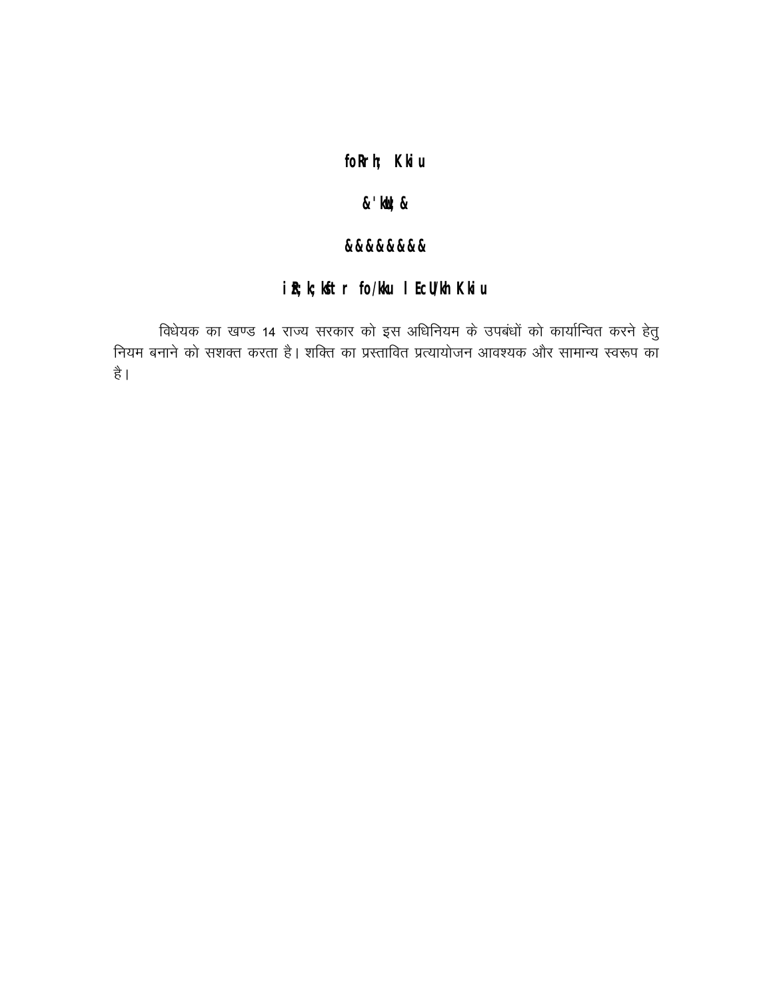## foRrh; Kliu

### $x'$  id  $x$

#### 2222222

## iR; k; Ktr fo/Hu I EcUlh Kliu

विधेयक का खण्ड 14 राज्य सरकार को इस अधिनियम के उपबंधों को कार्यान्वित करने हेतु -<br>नियम बनाने को सशक्त करता है। शक्ति का प्रस्तावित प्रत्यायोजन आवश्यक और सामान्य स्वरूप का है।